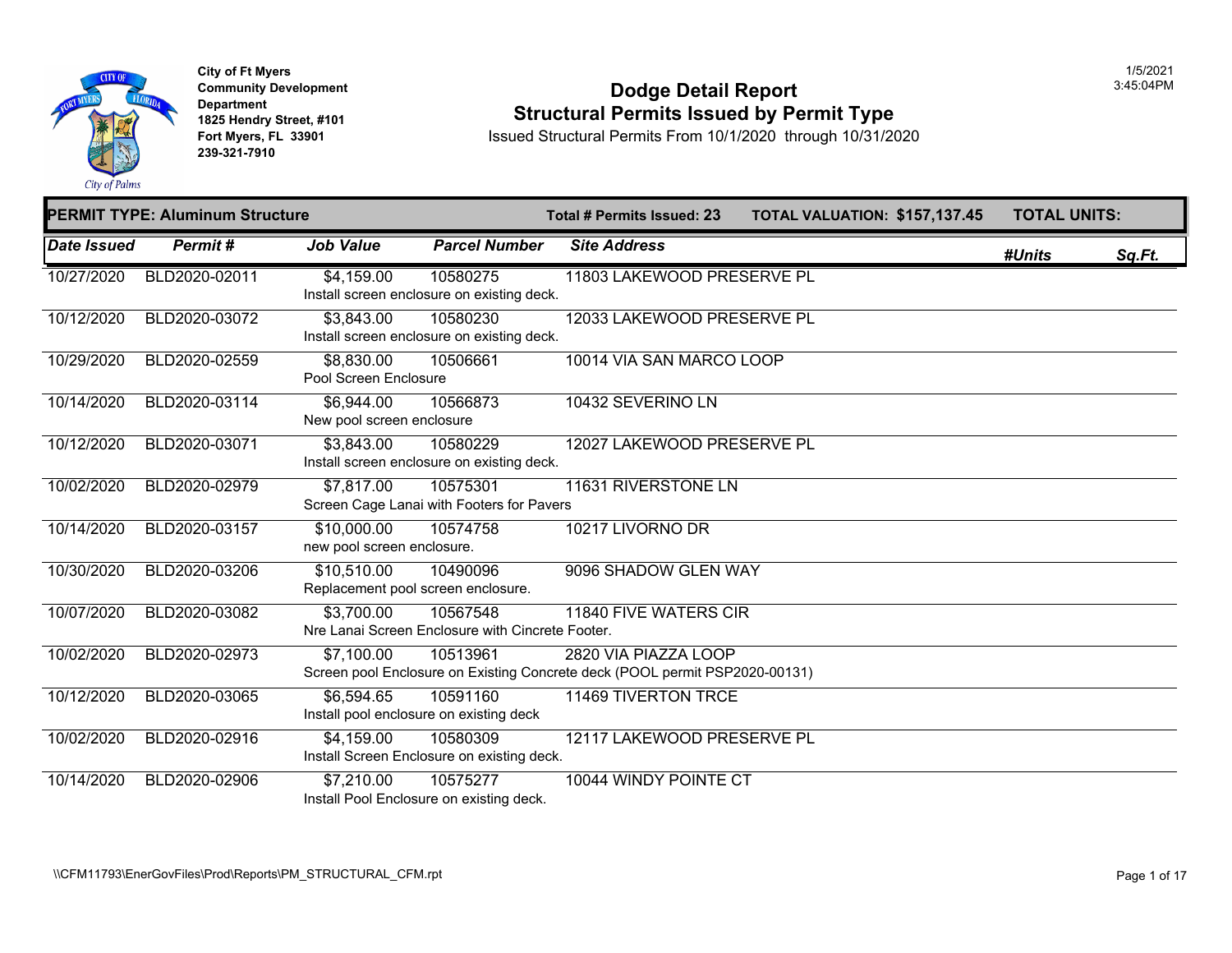

## **Community Developm[ent](https://8,830.00) 12:45:04:05:04 Podge Detail Report 1825 Hendry Street, #101 1825 Hendry Street, #101 1825 Hendry Street, #101 Structural Permits Issued by Permit Type**<br>**1825 Fort Myers, FL 33901 10/31/20**

|                    | <b>PERMIT TYPE: Aluminum Structure</b> |                                                   |                                                              | Total # Permits Issued: 23                                                                          | <b>TOTAL VALUATION: \$157,13</b> |
|--------------------|----------------------------------------|---------------------------------------------------|--------------------------------------------------------------|-----------------------------------------------------------------------------------------------------|----------------------------------|
| <b>Date Issued</b> | Permit#                                | <b>Job Value</b>                                  | <b>Parcel Number</b>                                         | <b>Site Address</b>                                                                                 |                                  |
| 10/27/2020         | BLD2020-02011                          | \$4,159.00                                        | 10580275<br>Install screen enclosure on existing deck.       | 11803 LAKEWOOD PRESERVE PL                                                                          |                                  |
| 10/12/2020         | BLD2020-03072                          | \$3,843.00                                        | 10580230<br>Install screen enclosure on existing deck.       | 12033 LAKEWOOD PRESERVE PL                                                                          |                                  |
| 10/29/2020         | BLD2020-02559                          | \$8,830.00<br>Pool Screen Enclosure               | 10506661                                                     | 10014 VIA SAN MARCO LOOP                                                                            |                                  |
| 10/14/2020         | BLD2020-03114                          | \$6,944.00<br>New pool screen enclosure           | 10566873                                                     | 10432 SEVERINO LN                                                                                   |                                  |
| 10/12/2020         | BLD2020-03071                          | \$3,843.00                                        | 10580229<br>Install screen enclosure on existing deck.       | 12027 LAKEWOOD PRESERVE PL                                                                          |                                  |
| 10/02/2020         | BLD2020-02979                          | \$7,817.00                                        | 10575301<br>Screen Cage Lanai with Footers for Pavers        | 11631 RIVERSTONE LN                                                                                 |                                  |
| 10/14/2020         | BLD2020-03157                          | \$10,000.00<br>new pool screen enclosure.         | 10574758                                                     | 10217 LIVORNO DR                                                                                    |                                  |
| 10/30/2020         | BLD2020-03206                          | \$10,510.00<br>Replacement pool screen enclosure. | 10490096                                                     | 9096 SHADOW GLEN WAY                                                                                |                                  |
| 10/07/2020         | BLD2020-03082                          | \$3,700.00                                        | 10567548<br>Nre Lanai Screen Enclosure with Cincrete Footer. | 11840 FIVE WATERS CIR                                                                               |                                  |
| 10/02/2020         | BLD2020-02973                          | \$7,100.00                                        | 10513961                                                     | 2820 VIA PIAZZA LOOP<br>Screen pool Enclosure on Existing Concrete deck (POOL permit PSP2020-00131) |                                  |
| 10/12/2020         | BLD2020-03065                          | \$6,594.65                                        | 10591160<br>Install pool enclosure on existing deck          | 11469 TIVERTON TRCE                                                                                 |                                  |
| 10/02/2020         | BLD2020-02916                          | \$4,159.00                                        | 10580309<br>Install Screen Enclosure on existing deck.       | 12117 LAKEWOOD PRESERVE PL                                                                          |                                  |
| 10/14/2020         | BLD2020-02906                          | \$7,210.00                                        | 10575277<br>Install Pool Enclosure on existing deck.         | 10044 WINDY POINTE CT                                                                               |                                  |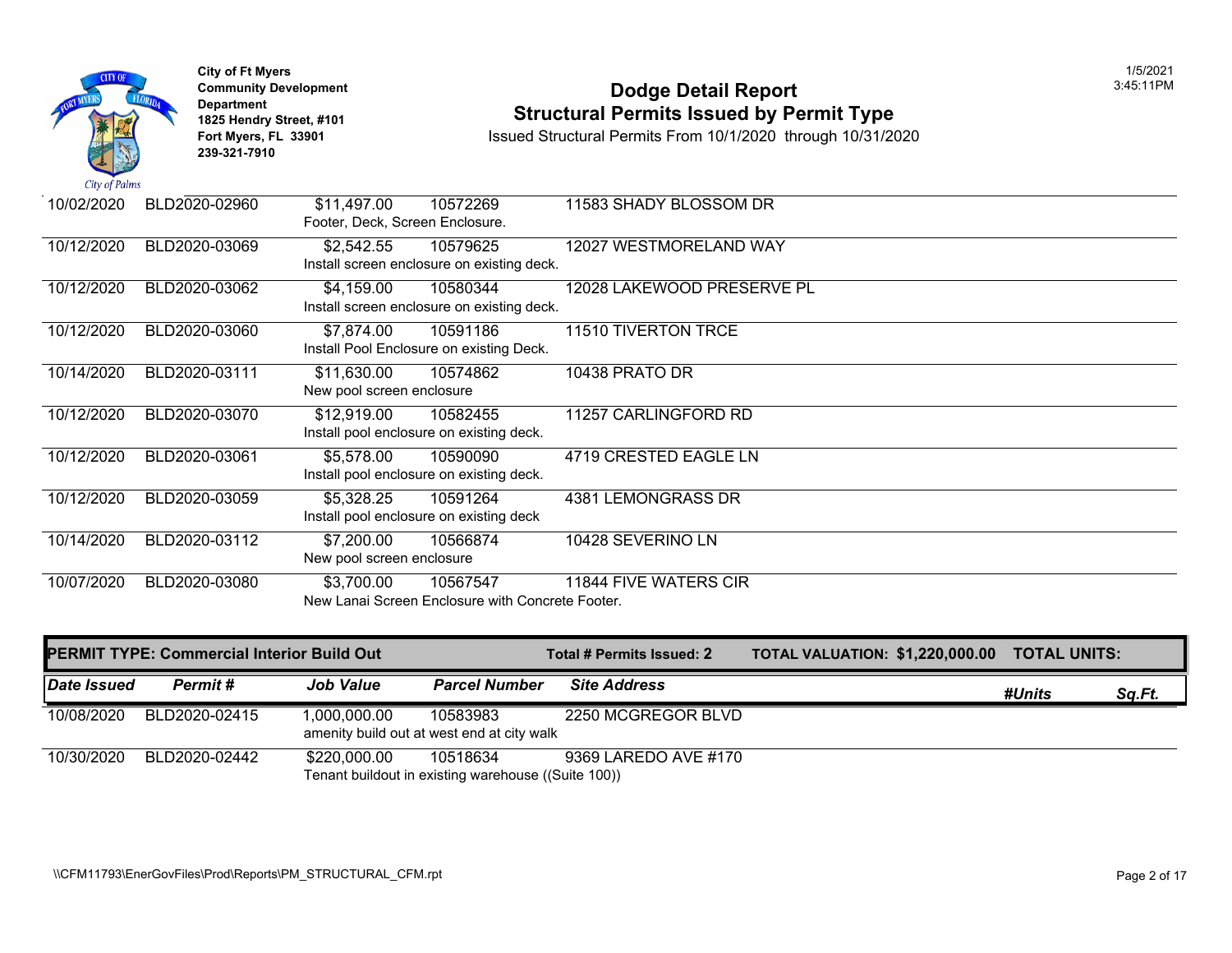

# City of Ft Myers<br> **Community Development**<br> **Dodge Detail Report 1825 Hendry Street, #101 1825 Hendry Street, #101 1825 Hendry Street, #101 Structural Permits Issued by Permit Type**<br> **1825 Hendry Street, #101 1850 Issued Structural Permits From 10/1/2020** through 10/31/20

| 10/02/2020 | BLD2020-02960 | \$11,497.00<br>Footer, Deck, Screen Enclosure. | 10572269                                         | 11583 SHADY BLOSSOM DR     |
|------------|---------------|------------------------------------------------|--------------------------------------------------|----------------------------|
|            |               |                                                |                                                  |                            |
| 10/12/2020 | BLD2020-03069 | \$2,542.55                                     | 10579625                                         | 12027 WESTMORELAND WAY     |
|            |               |                                                | Install screen enclosure on existing deck.       |                            |
|            |               |                                                |                                                  |                            |
| 10/12/2020 | BLD2020-03062 | \$4,159.00                                     | 10580344                                         | 12028 LAKEWOOD PRESERVE PL |
|            |               |                                                | Install screen enclosure on existing deck.       |                            |
| 10/12/2020 | BLD2020-03060 | \$7,874.00                                     | 10591186                                         | 11510 TIVERTON TRCE        |
|            |               |                                                | Install Pool Enclosure on existing Deck.         |                            |
| 10/14/2020 | BLD2020-03111 | \$11,630.00                                    | 10574862                                         | 10438 PRATO DR             |
|            |               | New pool screen enclosure                      |                                                  |                            |
| 10/12/2020 | BLD2020-03070 | \$12,919.00                                    | 10582455                                         | 11257 CARLINGFORD RD       |
|            |               |                                                |                                                  |                            |
|            |               |                                                | Install pool enclosure on existing deck.         |                            |
| 10/12/2020 | BLD2020-03061 | \$5,578.00                                     | 10590090                                         | 4719 CRESTED EAGLE LN      |
|            |               |                                                | Install pool enclosure on existing deck.         |                            |
|            |               |                                                |                                                  |                            |
| 10/12/2020 | BLD2020-03059 | \$5,328.25                                     | 10591264                                         | 4381 LEMONGRASS DR         |
|            |               |                                                | Install pool enclosure on existing deck          |                            |
| 10/14/2020 | BLD2020-03112 | \$7,200.00                                     | 10566874                                         | 10428 SEVERINO LN          |
|            |               | New pool screen enclosure                      |                                                  |                            |
| 10/07/2020 | BLD2020-03080 | \$3,700.00                                     | 10567547                                         | 11844 FIVE WATERS CIR      |
|            |               |                                                | New Lanai Screen Enclosure with Concrete Footer. |                            |
|            |               |                                                |                                                  |                            |

|             | <b>PERMIT TYPE: Commercial Interior Build Out</b> |                                                            |                                                                 | Total # Permits Issued: 2 | <b>TOTAL VALUATION: \$1,220,0</b> |
|-------------|---------------------------------------------------|------------------------------------------------------------|-----------------------------------------------------------------|---------------------------|-----------------------------------|
| Date Issued | <b>Permit</b> #                                   | <b>Job Value</b>                                           | <b>Parcel Number</b>                                            | <b>Site Address</b>       |                                   |
| 10/08/2020  | BLD2020-02415                                     | 1,000,000.00<br>amenity build out at west end at city walk | 10583983                                                        | 2250 MCGREGOR BLVD        |                                   |
| 10/30/2020  | BLD2020-02442                                     | \$220.000.00                                               | 10518634<br>Tenant buildout in existing warehouse ((Suite 100)) | 9369 LAREDO AVE #170      |                                   |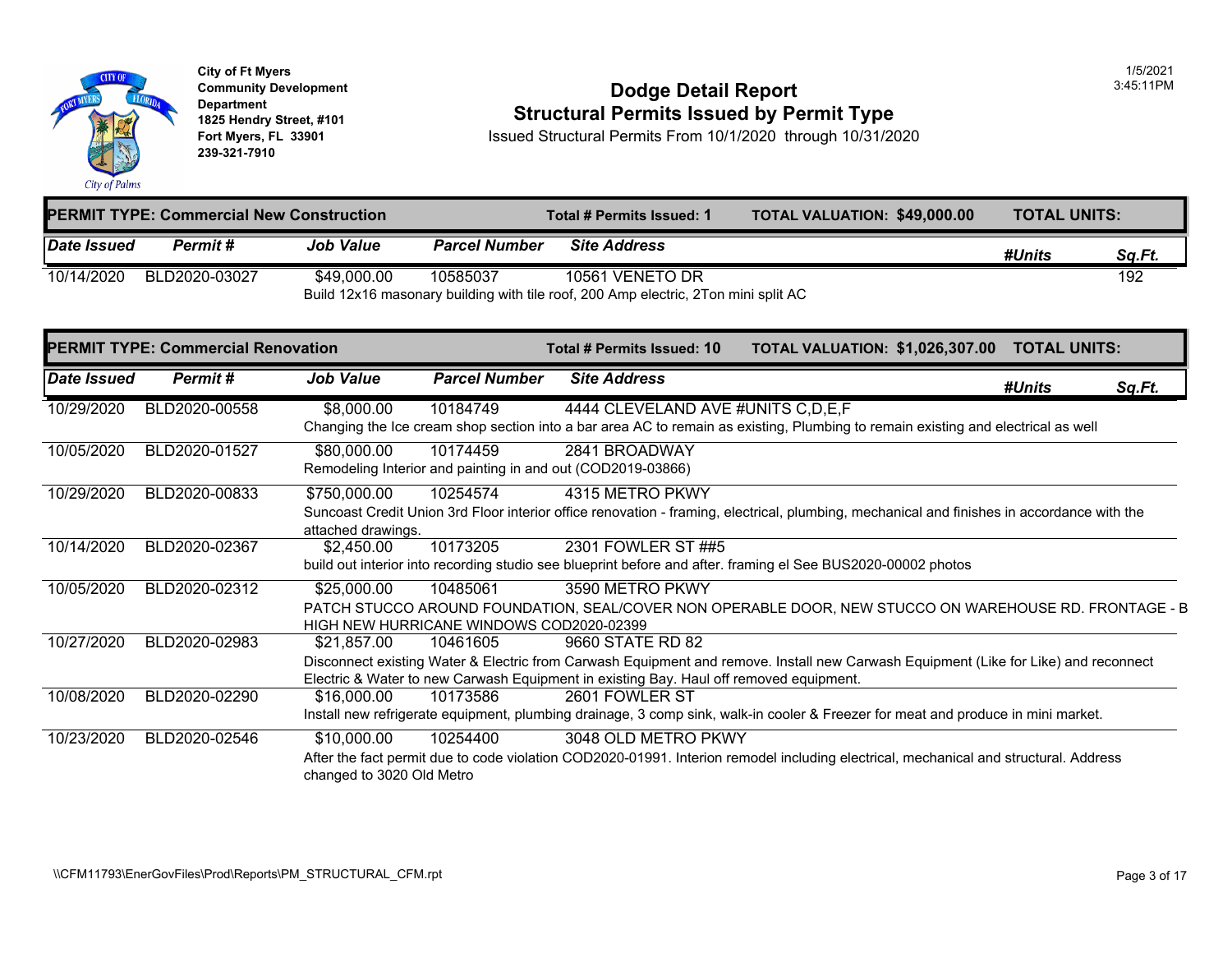

## **Community Development Dodge Detail Report** 3:45:11PM **1825 Hendry Street, #101**<br>1825 Hendry Street, #101 **1825 Hendry Street, #101**<br>10/31/2020 Fort Myers, FL 33901 **10/31/2020**

| <b>PERMIT TYPE: Commercial New Construction</b> |                                                                                    |                  |                      | Total # Permits Issued: 1 | <b>TOTAL VALUATION: \$49,000</b> |  |
|-------------------------------------------------|------------------------------------------------------------------------------------|------------------|----------------------|---------------------------|----------------------------------|--|
| Date Issued                                     | <b>Permit #</b>                                                                    | <b>Job Value</b> | <b>Parcel Number</b> | <b>Site Address</b>       |                                  |  |
| 10/14/2020                                      | BLD2020-03027                                                                      | \$49,000.00      | 10585037             | 10561 VENETO DR           |                                  |  |
|                                                 | Build 12x16 masonary building with tile roof, 200 Amp electric, 2Ton mini split AC |                  |                      |                           |                                  |  |

| <b>PERMIT TYPE: Commercial Renovation</b> |               |                                          |                                                      | Total # Permits Issued: 10                                                                                 | <b>TOTAL VALUATION: \$1,026,3</b>                                                                          |
|-------------------------------------------|---------------|------------------------------------------|------------------------------------------------------|------------------------------------------------------------------------------------------------------------|------------------------------------------------------------------------------------------------------------|
| <b>Date Issued</b>                        | Permit#       | <b>Job Value</b>                         | <b>Parcel Number</b>                                 | <b>Site Address</b>                                                                                        |                                                                                                            |
| 10/29/2020                                | BLD2020-00558 | \$8,000.00                               | 10184749                                             | 4444 CLEVELAND AVE #UNITS C, D, E, F                                                                       | Changing the Ice cream shop section into a bar area AC to remain as existing, Plumbing to remain existir   |
| 10/05/2020                                | BLD2020-01527 | \$80,000.00                              | 10174459                                             | 2841 BROADWAY<br>Remodeling Interior and painting in and out (COD2019-03866)                               |                                                                                                            |
| 10/29/2020                                | BLD2020-00833 | \$750,000.00<br>attached drawings.       | 10254574                                             | 4315 METRO PKWY                                                                                            | Suncoast Credit Union 3rd Floor interior office renovation - framing, electrical, plumbing, mechanical and |
| 10/14/2020                                | BLD2020-02367 | \$2,450.00                               | 10173205                                             | 2301 FOWLER ST ##5                                                                                         | build out interior into recording studio see blueprint before and after. framing el See BUS2020-00002 pho  |
| 10/05/2020                                | BLD2020-02312 | \$25,000.00                              | 10485061<br>HIGH NEW HURRICANE WINDOWS COD2020-02399 | 3590 METRO PKWY                                                                                            | PATCH STUCCO AROUND FOUNDATION, SEAL/COVER NON OPERABLE DOOR, NEW STUCCO O                                 |
| 10/27/2020                                | BLD2020-02983 | \$21,857.00                              | 10461605                                             | 9660 STATE RD 82<br>Electric & Water to new Carwash Equipment in existing Bay. Haul off removed equipment. | Disconnect existing Water & Electric from Carwash Equipment and remove. Install new Carwash Equipm         |
| 10/08/2020                                | BLD2020-02290 | \$16,000.00                              | 10173586                                             | 2601 FOWLER ST                                                                                             | Install new refrigerate equipment, plumbing drainage, 3 comp sink, walk-in cooler & Freezer for meat and   |
| 10/23/2020                                | BLD2020-02546 | \$10,000.00<br>changed to 3020 Old Metro | 10254400                                             | 3048 OLD METRO PKWY                                                                                        | After the fact permit due to code violation COD2020-01991. Interion remodel including electrical, mechan   |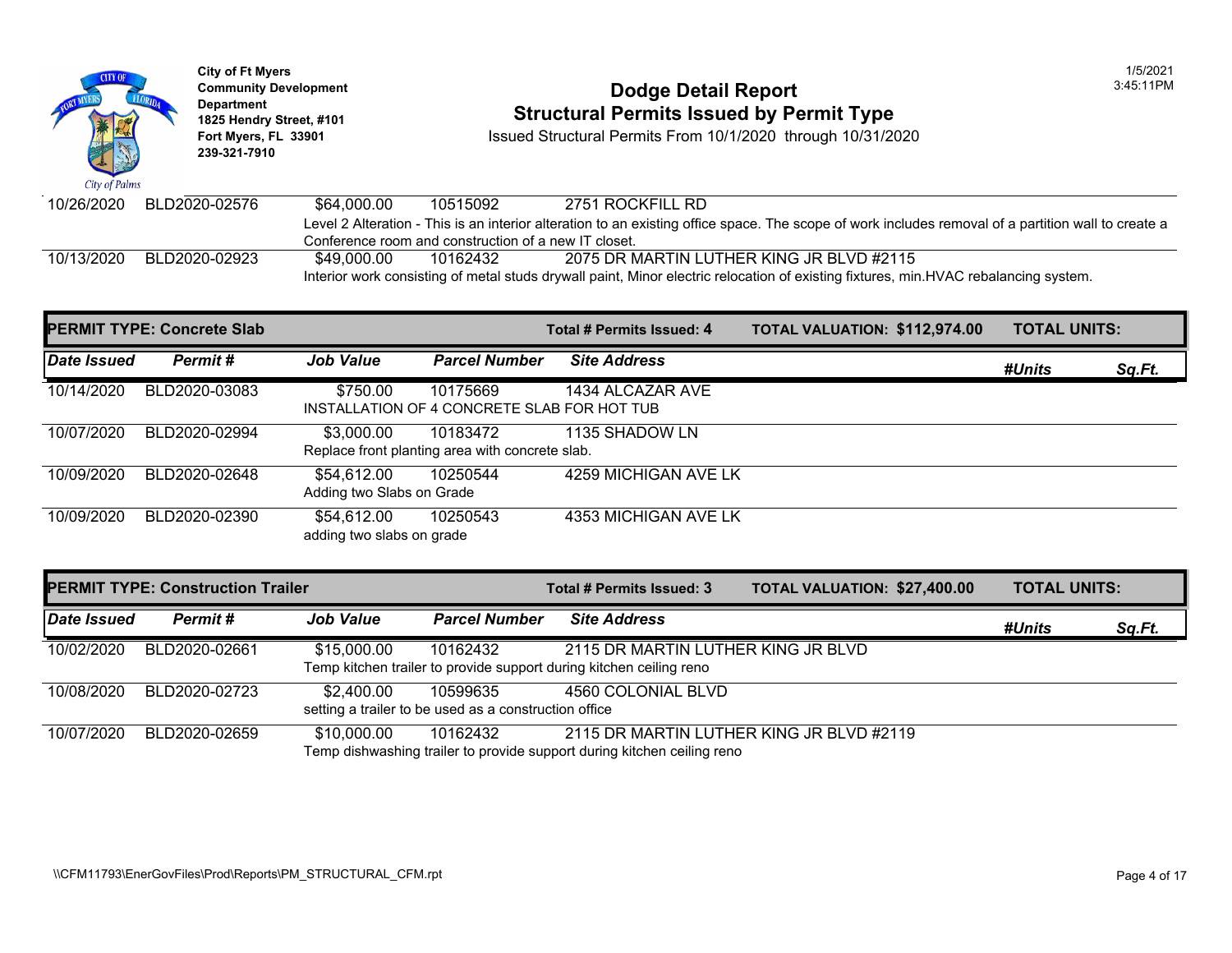

# **Community Development Community Development Community Development Community Dodge Detail Report 1825 Hendry Street, #101 1825 Hendry Street, #101 1825 Hendry Street, #101 Structural Permits Issued by Permit Type**<br> **1825 Hendry Street, #101 1850 Issued Structural Permits From 10/1/2020** through 10/31/20

| 10/26/2020 | BLD2020-02576 | \$64.000.00                                                                                                    | 10515092 | 2751 ROCKFILL RD                                                                                               |  |  |  |  |
|------------|---------------|----------------------------------------------------------------------------------------------------------------|----------|----------------------------------------------------------------------------------------------------------------|--|--|--|--|
|            |               |                                                                                                                |          | Level 2 Alteration - This is an interior alteration to an existing office space. The scope of work includes re |  |  |  |  |
|            |               | Conference room and construction of a new IT closet.                                                           |          |                                                                                                                |  |  |  |  |
| 10/13/2020 | BLD2020-02923 | \$49.000.00                                                                                                    | 10162432 | 2075 DR MARTIN LUTHER KING JR BLVD #2115                                                                       |  |  |  |  |
|            |               | Interior work consisting of metal studs drywall paint, Minor electric relocation of existing fixtures, min.HVA |          |                                                                                                                |  |  |  |  |

|             | <b>PERMIT TYPE: Concrete Slab</b> |                                          |                                                             | Total # Permits Issued: 4 | <b>TOTAL VALUATION: \$112,97</b> |
|-------------|-----------------------------------|------------------------------------------|-------------------------------------------------------------|---------------------------|----------------------------------|
| Date Issued | Permit#                           | <b>Job Value</b>                         | <b>Parcel Number</b>                                        | <b>Site Address</b>       |                                  |
| 10/14/2020  | BLD2020-03083                     | \$750.00                                 | 10175669<br>INSTALLATION OF 4 CONCRETE SLAB FOR HOT TUB     | 1434 ALCAZAR AVE          |                                  |
| 10/07/2020  | BLD2020-02994                     | \$3,000.00                               | 10183472<br>Replace front planting area with concrete slab. | 1135 SHADOW LN            |                                  |
| 10/09/2020  | BLD2020-02648                     | \$54,612.00<br>Adding two Slabs on Grade | 10250544                                                    | 4259 MICHIGAN AVE LK      |                                  |
| 10/09/2020  | BLD2020-02390                     | \$54.612.00<br>adding two slabs on grade | 10250543                                                    | 4353 MICHIGAN AVE LK      |                                  |

| <b>PERMIT TYPE: Construction Trailer</b> |               |                  |                                                                   | Total # Permits Issued: 3                                                                                           | <b>TOTAL VALUATION: \$27,400</b> |  |
|------------------------------------------|---------------|------------------|-------------------------------------------------------------------|---------------------------------------------------------------------------------------------------------------------|----------------------------------|--|
| Date Issued                              | Permit #      | <b>Job Value</b> | <b>Parcel Number</b>                                              | <b>Site Address</b>                                                                                                 |                                  |  |
| 10/02/2020                               | BLD2020-02661 | \$15,000.00      | 10162432                                                          | 2115 DR MARTIN LUTHER KING JR BLVD<br>Temp kitchen trailer to provide support during kitchen ceiling reno           |                                  |  |
| 10/08/2020                               | BLD2020-02723 | \$2.400.00       | 10599635<br>setting a trailer to be used as a construction office | 4560 COLONIAL BLVD                                                                                                  |                                  |  |
| 10/07/2020                               | BLD2020-02659 | \$10,000.00      | 10162432                                                          | 2115 DR MARTIN LUTHER KING JR BLVD #2119<br>Temp dishwashing trailer to provide support during kitchen ceiling reno |                                  |  |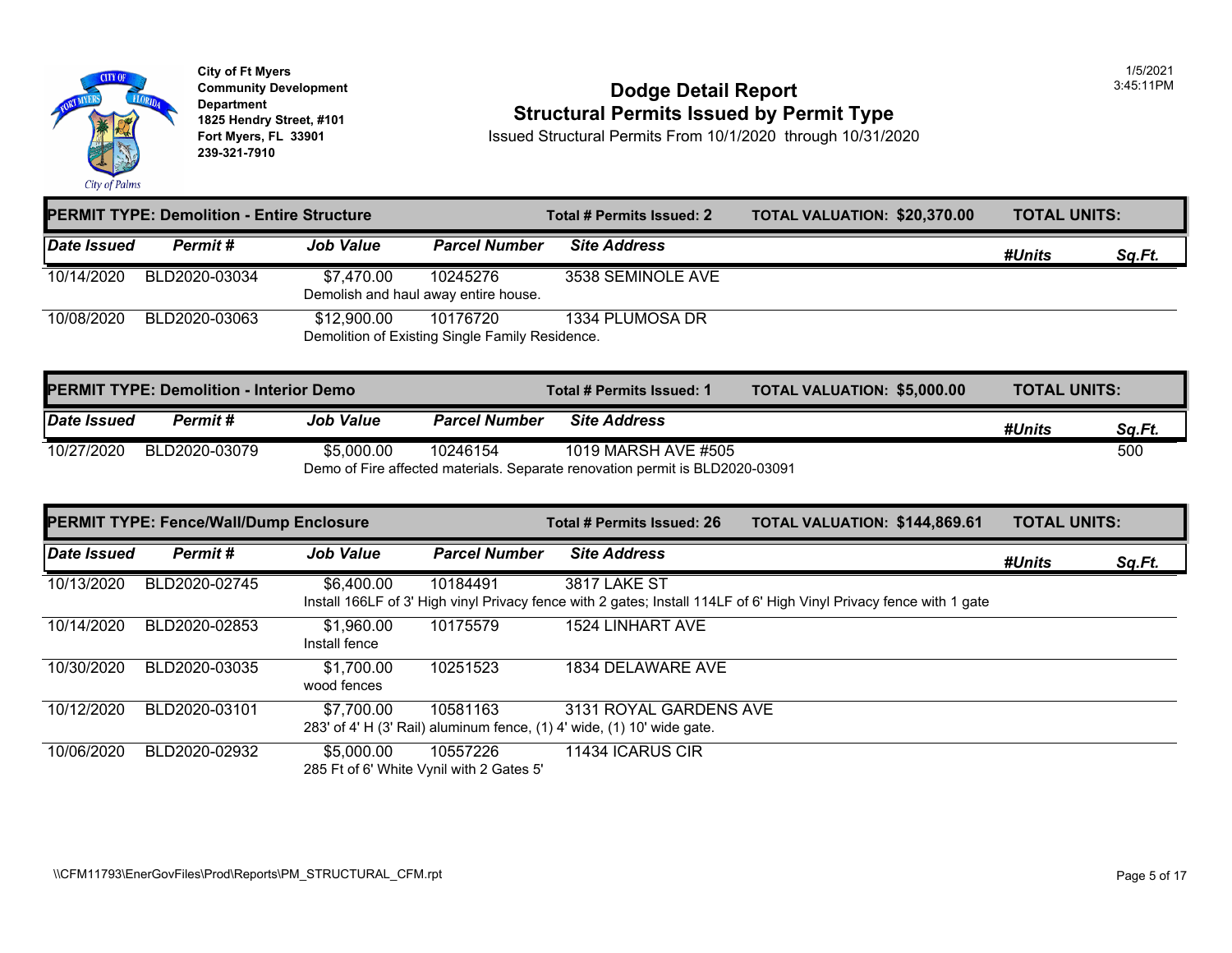

# City of Ft Myers<br>
Community Development<br> **Dodge Detail Report 1825 Hendry Street, #101 1825 Hendry Street, #101 1825 Hendry Street, #101 Structural Permits Issued by Permit Type**<br> **1825 Hendry Street, #101 1850 Issued Structural Permits From 10/1/2020** through 10/31/20

| <b>PERMIT TYPE: Demolition - Entire Structure</b> |               |                  | Total # Permits Issued: 2                                   | <b>TOTAL VALUATION: \$20,370</b> |  |
|---------------------------------------------------|---------------|------------------|-------------------------------------------------------------|----------------------------------|--|
| Date Issued                                       | Permit #      | <b>Job Value</b> | <b>Parcel Number</b>                                        | <b>Site Address</b>              |  |
| 10/14/2020                                        | BLD2020-03034 | \$7,470.00       | 10245276<br>Demolish and haul away entire house.            | 3538 SEMINOLE AVE                |  |
| 10/08/2020                                        | BLD2020-03063 | \$12,900.00      | 10176720<br>Demolition of Existing Single Family Residence. | 1334 PLUMOSA DR                  |  |

| <b>PERMIT TYPE: Demolition - Interior Demo</b> |                                                                              |                  |                      | Total # Permits Issued: 1 | <b>TOTAL VALUATION: \$5,000.0</b> |  |
|------------------------------------------------|------------------------------------------------------------------------------|------------------|----------------------|---------------------------|-----------------------------------|--|
| Date Issued                                    | <b>Permit</b> #                                                              | <b>Job Value</b> | <b>Parcel Number</b> | <b>Site Address</b>       |                                   |  |
| 10/27/2020                                     | BLD2020-03079                                                                | \$5,000.00       | 10246154             | 1019 MARSH AVE #505       |                                   |  |
|                                                | Demo of Fire affected materials. Separate renovation permit is BLD2020-03091 |                  |                      |                           |                                   |  |

|             | <b>PERMIT TYPE: Fence/Wall/Dump Enclosure</b> |                             | Total # Permits Issued: 26                           | <b>TOTAL VALUATION: \$144,86</b>                                                                 |                                                                                                              |
|-------------|-----------------------------------------------|-----------------------------|------------------------------------------------------|--------------------------------------------------------------------------------------------------|--------------------------------------------------------------------------------------------------------------|
| Date Issued | Permit#                                       | <b>Job Value</b>            | <b>Parcel Number</b>                                 | <b>Site Address</b>                                                                              |                                                                                                              |
| 10/13/2020  | BLD2020-02745                                 | \$6,400.00                  | 10184491                                             | <b>3817 LAKE ST</b>                                                                              | Install 166LF of 3' High vinyl Privacy fence with 2 gates; Install 114LF of 6' High Vinyl Privacy fence with |
| 10/14/2020  | BLD2020-02853                                 | \$1,960.00<br>Install fence | 10175579                                             | 1524 LINHART AVE                                                                                 |                                                                                                              |
| 10/30/2020  | BLD2020-03035                                 | \$1,700.00<br>wood fences   | 10251523                                             | 1834 DELAWARE AVE                                                                                |                                                                                                              |
| 10/12/2020  | BLD2020-03101                                 | \$7,700.00                  | 10581163                                             | 3131 ROYAL GARDENS AVE<br>283' of 4' H (3' Rail) aluminum fence, (1) 4' wide, (1) 10' wide gate. |                                                                                                              |
| 10/06/2020  | BLD2020-02932                                 | \$5,000.00                  | 10557226<br>285 Ft of 6' White Vynil with 2 Gates 5' | 11434 ICARUS CIR                                                                                 |                                                                                                              |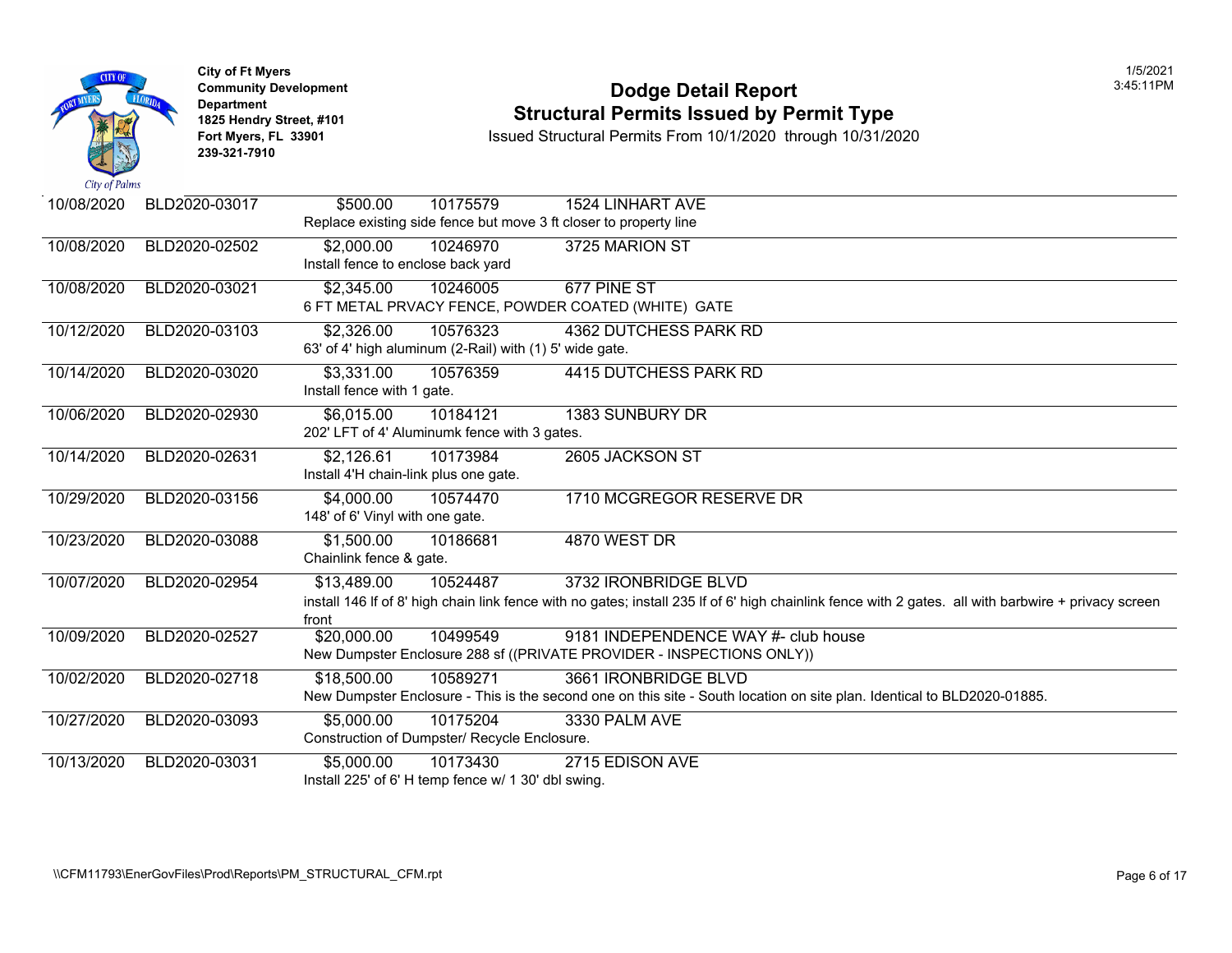

## **Community Developm[ent](https://3,331.00) Dodge Detail Report** 3:45:11PM **1825 Hendry Street, #101 1825 Hendry Street, #101 1825 Hendry Street, #101 Structural Permits Issued by Permit Type**<br> **1825 Hendry Street, #101 1850 Issued Structural Permits From 10/1/2020** through 10/31/20

| 10/08/2020 | BLD2020-03017 | 10175579<br>\$500.00                                    | <b>1524 LINHART AVE</b>                                                                                           |
|------------|---------------|---------------------------------------------------------|-------------------------------------------------------------------------------------------------------------------|
|            |               |                                                         | Replace existing side fence but move 3 ft closer to property line                                                 |
| 10/08/2020 | BLD2020-02502 | \$2,000.00<br>10246970                                  | 3725 MARION ST                                                                                                    |
|            |               | Install fence to enclose back yard                      |                                                                                                                   |
| 10/08/2020 | BLD2020-03021 | \$2,345.00<br>10246005                                  | 677 PINE ST                                                                                                       |
|            |               |                                                         | 6 FT METAL PRVACY FENCE, POWDER COATED (WHITE) GATE                                                               |
| 10/12/2020 | BLD2020-03103 | \$2,326.00<br>10576323                                  | <b>4362 DUTCHESS PARK RD</b>                                                                                      |
|            |               | 63' of 4' high aluminum (2-Rail) with (1) 5' wide gate. |                                                                                                                   |
| 10/14/2020 | BLD2020-03020 | \$3,331.00<br>10576359                                  | 4415 DUTCHESS PARK RD                                                                                             |
|            |               | Install fence with 1 gate.                              |                                                                                                                   |
| 10/06/2020 | BLD2020-02930 | \$6,015.00<br>10184121                                  | <b>1383 SUNBURY DR</b>                                                                                            |
|            |               | 202' LFT of 4' Aluminumk fence with 3 gates.            |                                                                                                                   |
| 10/14/2020 | BLD2020-02631 | 10173984<br>\$2,126.61                                  | 2605 JACKSON ST                                                                                                   |
|            |               | Install 4'H chain-link plus one gate.                   |                                                                                                                   |
|            |               |                                                         |                                                                                                                   |
| 10/29/2020 | BLD2020-03156 | \$4,000.00<br>10574470                                  | 1710 MCGREGOR RESERVE DR                                                                                          |
|            |               | 148' of 6' Vinyl with one gate.                         |                                                                                                                   |
| 10/23/2020 | BLD2020-03088 | \$1,500.00<br>10186681                                  | <b>4870 WEST DR</b>                                                                                               |
|            |               | Chainlink fence & gate.                                 |                                                                                                                   |
| 10/07/2020 | BLD2020-02954 | \$13,489.00<br>10524487                                 | 3732 IRONBRIDGE BLVD                                                                                              |
|            |               |                                                         | install 146 If of 8' high chain link fence with no gates; install 235 If of 6' high chainlink fence with 2 gates. |
|            |               | front                                                   |                                                                                                                   |
| 10/09/2020 | BLD2020-02527 | \$20,000.00<br>10499549                                 | 9181 INDEPENDENCE WAY #- club house                                                                               |
|            |               |                                                         | New Dumpster Enclosure 288 sf ((PRIVATE PROVIDER - INSPECTIONS ONLY))                                             |
| 10/02/2020 | BLD2020-02718 | \$18,500.00<br>10589271                                 | 3661 IRONBRIDGE BLVD                                                                                              |
|            |               |                                                         | New Dumpster Enclosure - This is the second one on this site - South location on site plan. Identical to B        |
| 10/27/2020 | BLD2020-03093 | \$5,000.00<br>10175204                                  | 3330 PALM AVE                                                                                                     |
|            |               | Construction of Dumpster/ Recycle Enclosure.            |                                                                                                                   |
| 10/13/2020 | BLD2020-03031 | $\overline{55,000.00}$<br>10173430                      | 2715 EDISON AVE                                                                                                   |
|            |               | Install 225' of 6' H temp fence w/ 1 30' dbl swing.     |                                                                                                                   |
|            |               |                                                         |                                                                                                                   |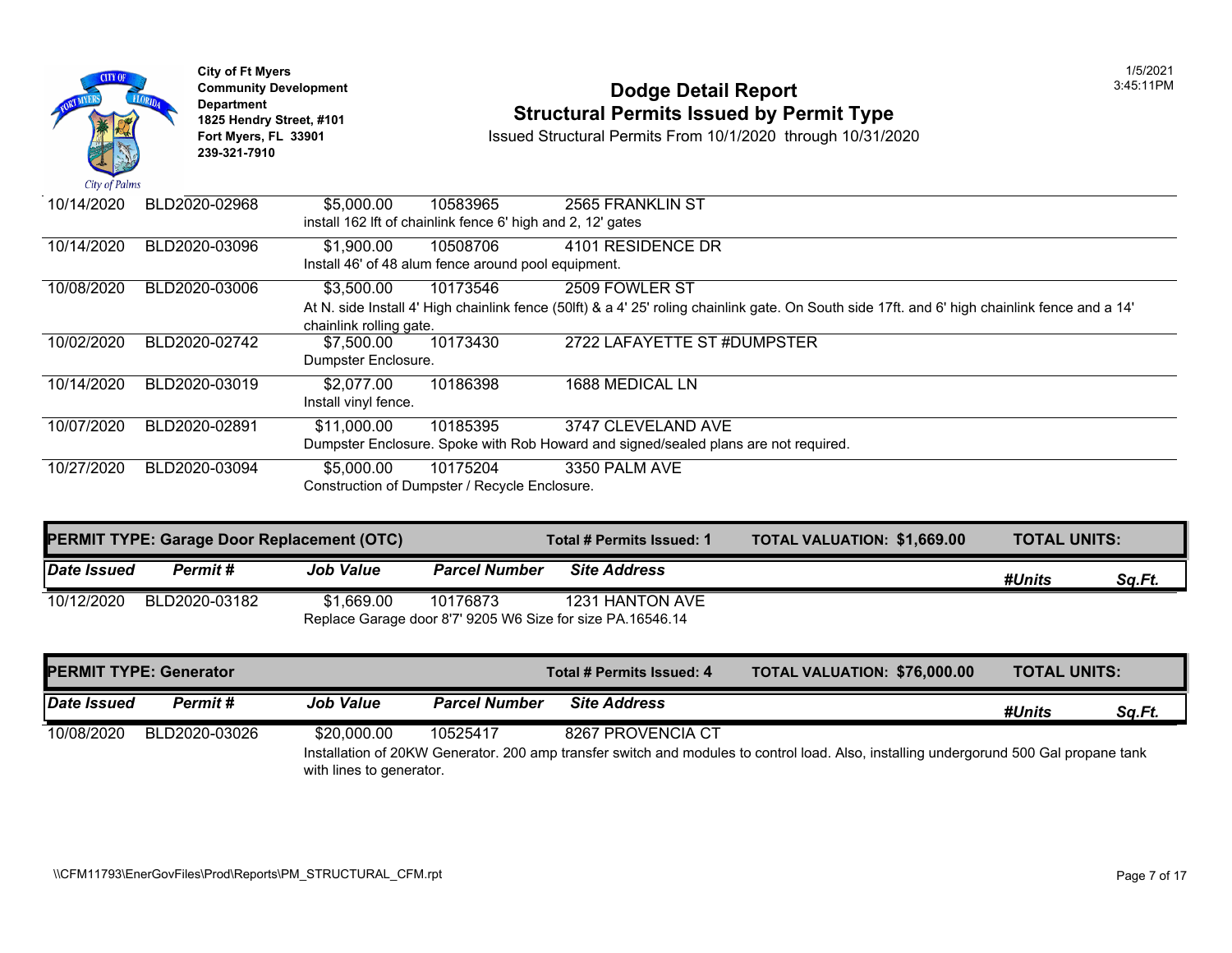

## **Community Development Dodge Detail Report** 3:45:11PM **1825 Hendry Street, #101 1825 Hendry Street, #101 1825 Hendry Street, #101 Structural Permits Issued by Permit Type**<br> **1825 Hendry Street, #101 1850 Issued Structural Permits From 10/1/2020** through 10/31/20

| 10/14/2020 | BLD2020-02968 | \$5,000.00              | 10583965                                                    | 2565 FRANKLIN ST                                                                                                |
|------------|---------------|-------------------------|-------------------------------------------------------------|-----------------------------------------------------------------------------------------------------------------|
|            |               |                         | install 162 lft of chainlink fence 6' high and 2, 12' gates |                                                                                                                 |
| 10/14/2020 | BLD2020-03096 | \$1,900.00              | 10508706                                                    | 4101 RESIDENCE DR                                                                                               |
|            |               |                         | Install 46' of 48 alum fence around pool equipment.         |                                                                                                                 |
| 10/08/2020 | BLD2020-03006 | \$3,500.00              | 10173546                                                    | 2509 FOWLER ST                                                                                                  |
|            |               |                         |                                                             | At N. side Install 4' High chainlink fence (50lft) & a 4' 25' roling chainlink gate. On South side 17ft. and 6' |
|            |               | chainlink rolling gate. |                                                             |                                                                                                                 |
| 10/02/2020 | BLD2020-02742 | \$7,500.00              | 10173430                                                    | 2722 LAFAYETTE ST #DUMPSTER                                                                                     |
|            |               | Dumpster Enclosure.     |                                                             |                                                                                                                 |
| 10/14/2020 | BLD2020-03019 | \$2,077.00              | 10186398                                                    | 1688 MEDICAL LN                                                                                                 |
|            |               | Install vinyl fence.    |                                                             |                                                                                                                 |
| 10/07/2020 | BLD2020-02891 | \$11,000.00             | 10185395                                                    | 3747 CLEVELAND AVE                                                                                              |
|            |               |                         |                                                             | Dumpster Enclosure. Spoke with Rob Howard and signed/sealed plans are not required.                             |
| 10/27/2020 | BLD2020-03094 | \$5,000.00              | 10175204                                                    | 3350 PALM AVE                                                                                                   |
|            |               |                         | Construction of Dumpster / Recycle Enclosure.               |                                                                                                                 |

| <b>PERMIT TYPE: Garage Door Replacement (OTC)</b> |               |                  |                      | Total # Permits Issued: 1                                  | <b>TOTAL VALUATION: \$1,669.0</b> |
|---------------------------------------------------|---------------|------------------|----------------------|------------------------------------------------------------|-----------------------------------|
| <b>Date Issued</b>                                | Permit #      | <b>Job Value</b> | <b>Parcel Number</b> | <b>Site Address</b>                                        |                                   |
| 10/12/2020                                        | BLD2020-03182 | \$1.669.00       | 10176873             | 1231 HANTON AVE                                            |                                   |
|                                                   |               |                  |                      | Replace Garage door 8'7' 9205 W6 Size for size PA.16546.14 |                                   |

|             | <b>PERMIT TYPE: Generator</b> |                          |                      | Total # Permits Issued: 4 | <b>TOTAL VALUATION: \$76,000</b>                                                                          |
|-------------|-------------------------------|--------------------------|----------------------|---------------------------|-----------------------------------------------------------------------------------------------------------|
| Date Issued | Permit #                      | <b>Job Value</b>         | <b>Parcel Number</b> | <b>Site Address</b>       |                                                                                                           |
| 10/08/2020  | BLD2020-03026                 | \$20,000.00              | 10525417             | 8267 PROVENCIA CT         |                                                                                                           |
|             |                               | with lines to generator. |                      |                           | Installation of 20KW Generator. 200 amp transfer switch and modules to control load. Also, installing und |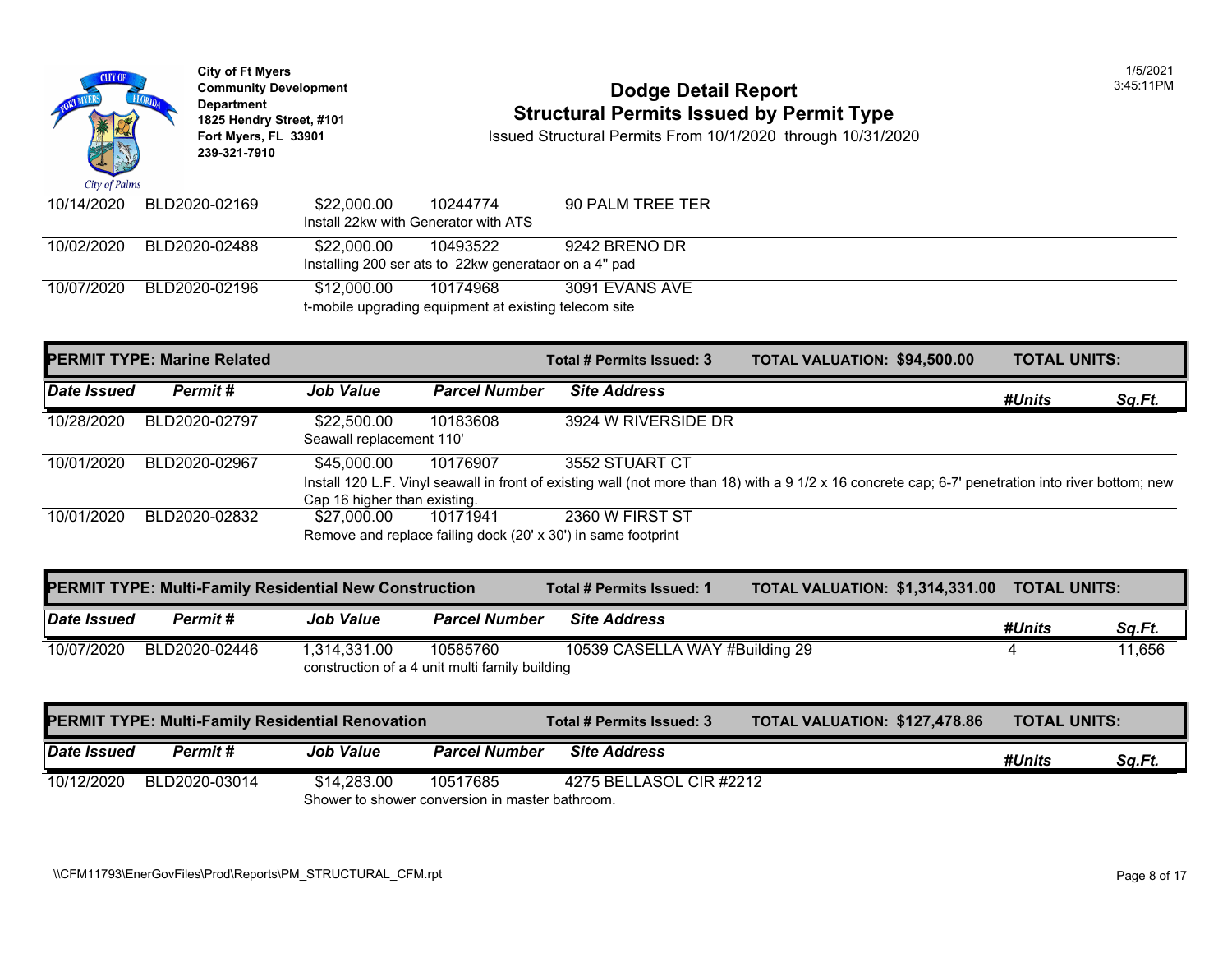

**City of Ft Myers** 1/5/2021 Department<br>1825 Hendry Street, #101 **239-321-7910** 

# **Community Development Community Development** Dodge Detail Report **1825 Hendry Street, #101 1825 Hendry Street, #101 1825 Hendry Street, #101 Structural Permits Issued by Permit Type**<br> **1825 Hendry Street, #101 1850 Issued Structural Permits From 10/1/2020** through 10/31/20

| 10/14/2020 | BLD2020-02169 | \$22,000.00                          | 10244774                                              | 90 PALM TREE TER |
|------------|---------------|--------------------------------------|-------------------------------------------------------|------------------|
|            |               | Install 22kw with Generator with ATS |                                                       |                  |
| 10/02/2020 | BLD2020-02488 | \$22.000.00                          | 10493522                                              | 9242 BRENO DR    |
|            |               |                                      | Installing 200 ser ats to 22kw generataor on a 4" pad |                  |
| 10/07/2020 | BLD2020-02196 | \$12.000.00                          | 10174968                                              | 3091 EVANS AVE   |
|            |               |                                      | t-mobile upgrading equipment at existing telecom site |                  |

|             | <b>PERMIT TYPE: Marine Related</b> |                                             |                      | Total # Permits Issued: 3                                                                                                        | <b>TOTAL VALUATION: \$94,500</b> |  |
|-------------|------------------------------------|---------------------------------------------|----------------------|----------------------------------------------------------------------------------------------------------------------------------|----------------------------------|--|
| Date Issued | Permit#                            | <b>Job Value</b>                            | <b>Parcel Number</b> | <b>Site Address</b>                                                                                                              |                                  |  |
| 10/28/2020  | BLD2020-02797                      | \$22,500.00<br>Seawall replacement 110'     | 10183608             | 3924 W RIVERSIDE DR                                                                                                              |                                  |  |
| 10/01/2020  | BLD2020-02967                      | \$45,000,00<br>Cap 16 higher than existing. | 10176907             | 3552 STUART CT<br>Install 120 L.F. Vinyl seawall in front of existing wall (not more than 18) with a 9 1/2 x 16 concrete cap; 6- |                                  |  |
| 10/01/2020  | BLD2020-02832                      | \$27.000.00                                 | 10171941             | 2360 W FIRST ST<br>Remove and replace failing dock (20' x 30') in same footprint                                                 |                                  |  |

|                    | <b>PERMIT TYPE: Multi-Family Residential New Construction</b> |                  |                                                            | Total # Permits Issued: 1      | <b>TOTAL VALUATION: \$1,314,3</b> |  |
|--------------------|---------------------------------------------------------------|------------------|------------------------------------------------------------|--------------------------------|-----------------------------------|--|
| <b>Date Issued</b> | Permit #                                                      | <b>Job Value</b> | <b>Parcel Number</b>                                       | <b>Site Address</b>            |                                   |  |
| 10/07/2020         | BLD2020-02446                                                 | 1.314.331.00     | 10585760<br>construction of a 4 unit multi family building | 10539 CASELLA WAY #Building 29 |                                   |  |

|             | <b>PERMIT TYPE: Multi-Family Residential Renovation</b> |                                                |                      | <b>Total # Permits Issued: 3</b> | <b>TOTAL VALUATION: \$127.47</b> |
|-------------|---------------------------------------------------------|------------------------------------------------|----------------------|----------------------------------|----------------------------------|
| Date Issued | Permit #                                                | <b>Job Value</b>                               | <b>Parcel Number</b> | <b>Site Address</b>              |                                  |
| 10/12/2020  | BLD2020-03014                                           | \$14.283.00                                    | 10517685             | 4275 BELLASOL CIR #2212          |                                  |
|             |                                                         | Shower to shower conversion in master bathroom |                      |                                  |                                  |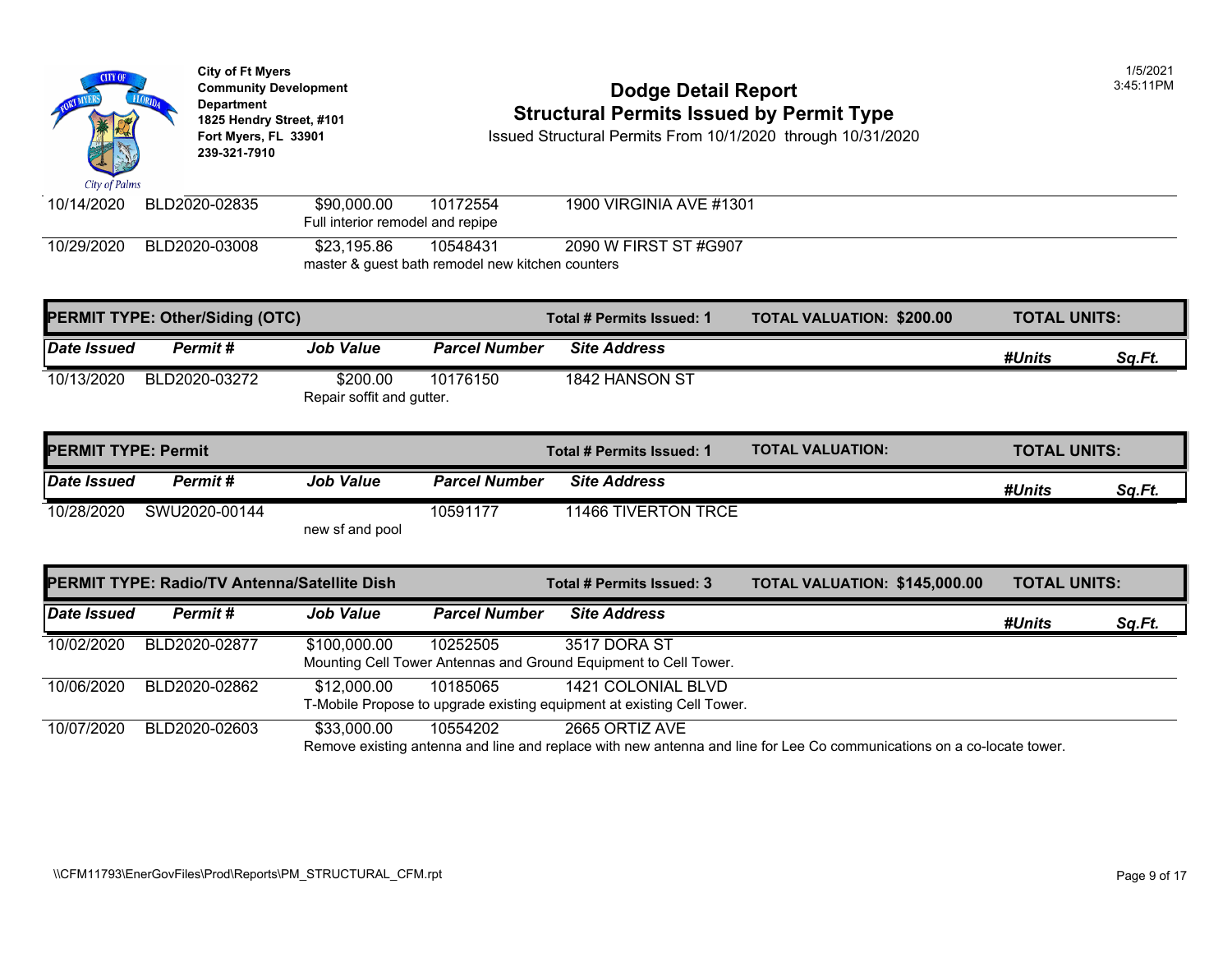

10/29/2020 BLD2020-03008 \$23,195.86 10548431 2090 W FIRST ST #G907 master & guest bath remodel new kitchen counters

|             | <b>PERMIT TYPE: Other/Siding (OTC)</b> |                                       |                      | Total # Permits Issued: 1 | <b>TOTAL VALUATION: \$200.00</b> |
|-------------|----------------------------------------|---------------------------------------|----------------------|---------------------------|----------------------------------|
| Date Issued | Permit#                                | <b>Job Value</b>                      | <b>Parcel Number</b> | <b>Site Address</b>       |                                  |
| 10/13/2020  | BLD2020-03272                          | \$200.00<br>Repair soffit and gutter. | 10176150             | 1842 HANSON ST            |                                  |

| <b>IPERMIT TYPE: Permit</b> |               |                  |                      | Total # Permits Issued: 1 | <b>TOTAL VALUATION:</b> |
|-----------------------------|---------------|------------------|----------------------|---------------------------|-------------------------|
| Date Issued                 | Permit #      | <b>Job Value</b> | <b>Parcel Number</b> | <b>Site Address</b>       |                         |
| 10/28/2020                  | SWU2020-00144 | new sf and pool  | 10591177             | 11466 TIVERTON TRCE       |                         |

| PERMIT TYPE: Radio/TV Antenna/Satellite Dish |               |                  | Total # Permits Issued: 3 | <b>TOTAL VALUATION: \$145,00</b>                                                                                      |  |  |
|----------------------------------------------|---------------|------------------|---------------------------|-----------------------------------------------------------------------------------------------------------------------|--|--|
| <b>Date Issued</b>                           | Permit#       | <b>Job Value</b> | <b>Parcel Number</b>      | <b>Site Address</b>                                                                                                   |  |  |
| 10/02/2020                                   | BLD2020-02877 | \$100,000.00     | 10252505                  | 3517 DORA ST<br>Mounting Cell Tower Antennas and Ground Equipment to Cell Tower.                                      |  |  |
| 10/06/2020                                   | BLD2020-02862 | \$12,000.00      | 10185065                  | 1421 COLONIAL BLVD<br>T-Mobile Propose to upgrade existing equipment at existing Cell Tower.                          |  |  |
| 10/07/2020                                   | BLD2020-02603 | \$33,000.00      | 10554202                  | 2665 ORTIZ AVE<br>Remove existing antenna and line and replace with new antenna and line for Lee Co communications on |  |  |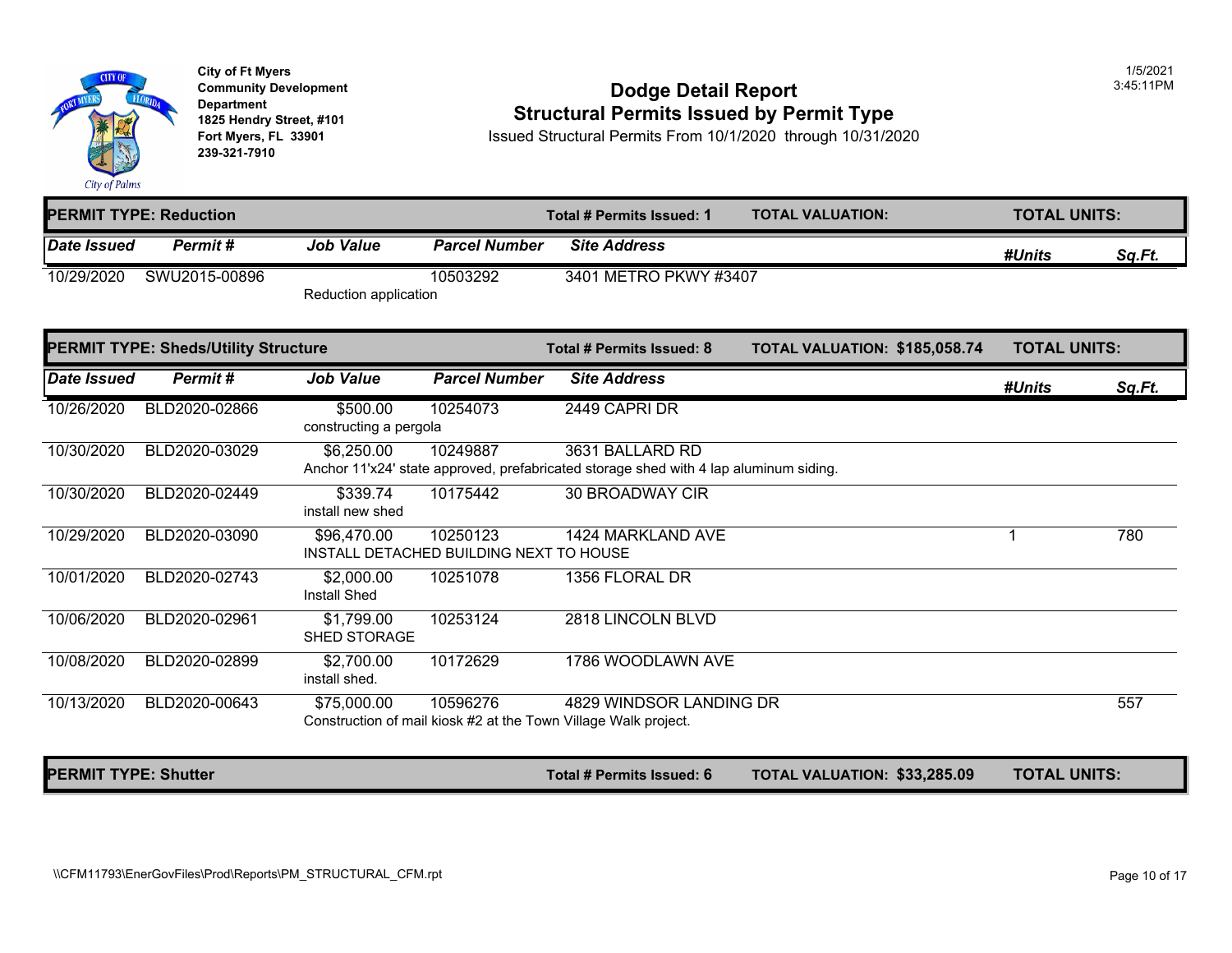

**City of Ft Myers** 1/5/2021 **239-321-7910** 

#### **Community Development** 3:45:11PM **Dodge Detail Report Department 1825 Hendry Street, #101 Structural Permits Issued by Permit Type**

**Fort Myers, FL 33901** Issued Structural Permits From 10/1/2020 through 10/31/2020

|                             | <b>IPERMIT TYPE: Reduction</b>              |                                                        |                      | Total # Permits Issued: 1                                                                                | <b>TOTAL VALUATION:</b>             | <b>TOTAL UNITS:</b> |        |
|-----------------------------|---------------------------------------------|--------------------------------------------------------|----------------------|----------------------------------------------------------------------------------------------------------|-------------------------------------|---------------------|--------|
| Date Issued                 | Permit#                                     | <b>Job Value</b>                                       | <b>Parcel Number</b> | <b>Site Address</b>                                                                                      |                                     | #Units              | Sq.Ft. |
| 10/29/2020                  | SWU2015-00896                               | Reduction application                                  | 10503292             | 3401 METRO PKWY #3407                                                                                    |                                     |                     |        |
|                             | <b>PERMIT TYPE: Sheds/Utility Structure</b> |                                                        |                      | Total # Permits Issued: 8                                                                                | TOTAL VALUATION: \$185,058.74       | <b>TOTAL UNITS:</b> |        |
| Date Issued                 | Permit#                                     | <b>Job Value</b>                                       | <b>Parcel Number</b> | <b>Site Address</b>                                                                                      |                                     | #Units              | Sq.Ft. |
| 10/26/2020                  | BLD2020-02866                               | \$500.00<br>constructing a pergola                     | 10254073             | 2449 CAPRI DR                                                                                            |                                     |                     |        |
| 10/30/2020                  | BLD2020-03029                               | \$6,250.00                                             | 10249887             | 3631 BALLARD RD<br>Anchor 11'x24' state approved, prefabricated storage shed with 4 lap aluminum siding. |                                     |                     |        |
| 10/30/2020                  | BLD2020-02449                               | \$339.74<br>install new shed                           | 10175442             | <b>30 BROADWAY CIR</b>                                                                                   |                                     |                     |        |
| 10/29/2020                  | BLD2020-03090                               | \$96,470.00<br>INSTALL DETACHED BUILDING NEXT TO HOUSE | 10250123             | 1424 MARKLAND AVE                                                                                        |                                     | 1                   | 780    |
| 10/01/2020                  | BLD2020-02743                               | \$2,000.00<br><b>Install Shed</b>                      | 10251078             | 1356 FLORAL DR                                                                                           |                                     |                     |        |
| 10/06/2020                  | BLD2020-02961                               | \$1,799.00<br><b>SHED STORAGE</b>                      | 10253124             | 2818 LINCOLN BLVD                                                                                        |                                     |                     |        |
| 10/08/2020                  | BLD2020-02899                               | \$2,700.00<br>install shed.                            | 10172629             | 1786 WOODLAWN AVE                                                                                        |                                     |                     |        |
| 10/13/2020                  | BLD2020-00643                               | \$75,000.00                                            | 10596276             | 4829 WINDSOR LANDING DR<br>Construction of mail kiosk #2 at the Town Village Walk project.               |                                     |                     | 557    |
| <b>PERMIT TYPE: Shutter</b> |                                             |                                                        |                      | Total # Permits Issued: 6                                                                                | <b>TOTAL VALUATION: \$33,285.09</b> | <b>TOTAL UNITS:</b> |        |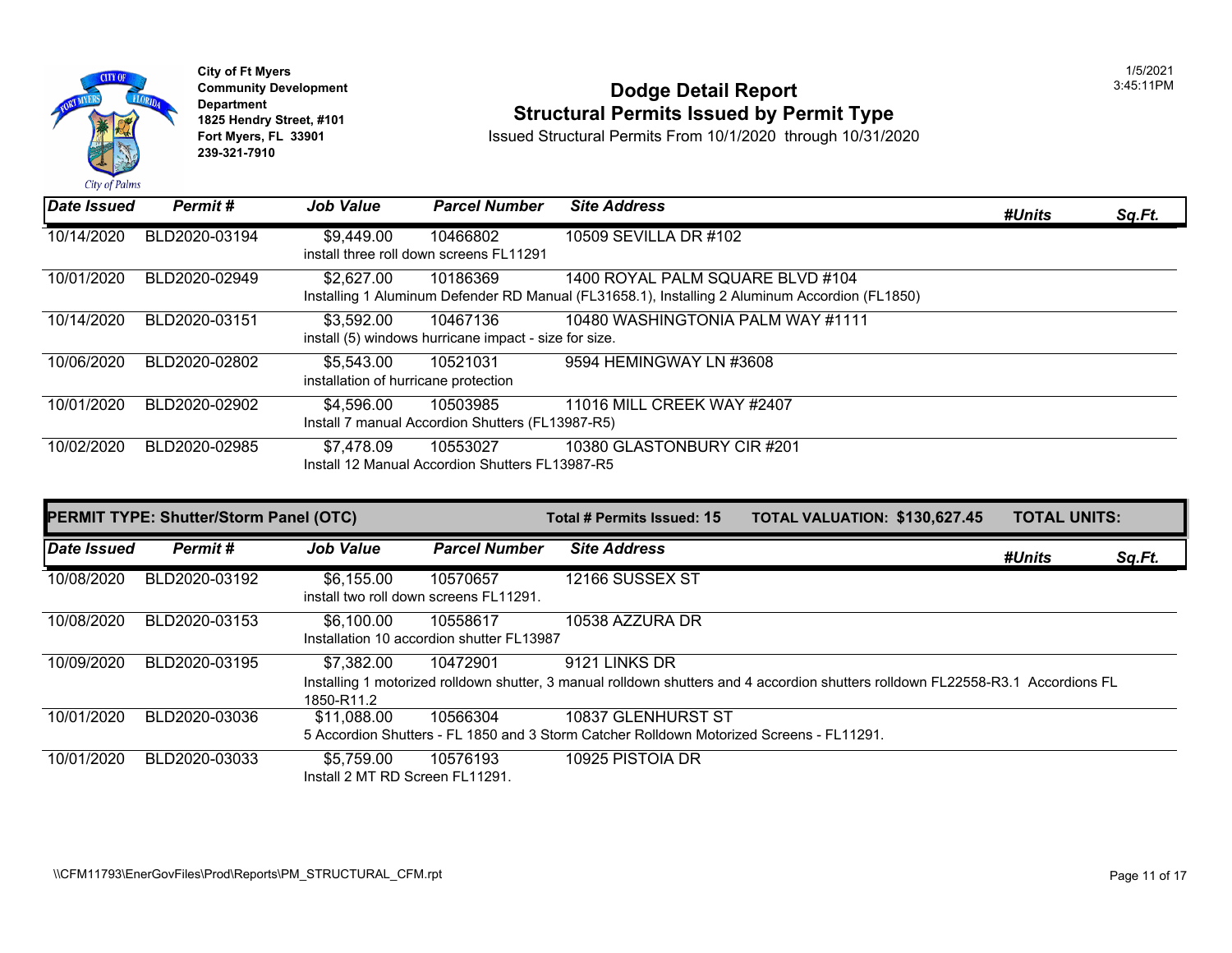

**City of Ft Myers** 1/5/2021 **239-321-7910** 

# City of Ft Myers<br>
Community Development<br>
Dodge Detail Report<br>
1825 Hendry Street, #101<br>
1825 Hendry Street, #101 **1825 Hendry Street, #101 1825 Hendry Street, #101 1825 Hendry Street, #101 Structural Permits Issued by Permit Type**<br>Fort Myers, FL 33901 **1825 Issued Structural Permits From 10/1/2020** through 10/31/20

| Date Issued | Permit#       | <b>Job Value</b>                                   | <b>Parcel Number</b>                                              | <b>Site Address</b>                                                                                                                |
|-------------|---------------|----------------------------------------------------|-------------------------------------------------------------------|------------------------------------------------------------------------------------------------------------------------------------|
| 10/14/2020  | BLD2020-03194 | \$9,449.00                                         | 10466802<br>install three roll down screens FL11291               | 10509 SEVILLA DR #102                                                                                                              |
| 10/01/2020  | BLD2020-02949 | \$2,627.00                                         | 10186369                                                          | 1400 ROYAL PALM SQUARE BLVD #104<br>Installing 1 Aluminum Defender RD Manual (FL31658.1), Installing 2 Aluminum Accordion (FL1850) |
| 10/14/2020  | BLD2020-03151 | \$3,592.00                                         | 10467136<br>install (5) windows hurricane impact - size for size. | 10480 WASHINGTONIA PALM WAY #1111                                                                                                  |
| 10/06/2020  | BLD2020-02802 | \$5,543.00<br>installation of hurricane protection | 10521031                                                          | 9594 HEMINGWAY LN #3608                                                                                                            |
| 10/01/2020  | BLD2020-02902 | \$4,596.00                                         | 10503985<br>Install 7 manual Accordion Shutters (FL13987-R5)      | 11016 MILL CREEK WAY #2407                                                                                                         |
| 10/02/2020  | BLD2020-02985 | \$7.478.09                                         | 10553027<br>Install 12 Manual Accordion Shutters FL13987-R5       | 10380 GLASTONBURY CIR #201                                                                                                         |

| <b>PERMIT TYPE: Shutter/Storm Panel (OTC)</b> |               |                                               |                                                       | Total # Permits Issued: 15                                                                                                 | <b>TOTAL VALUATION: \$130,62</b> |  |
|-----------------------------------------------|---------------|-----------------------------------------------|-------------------------------------------------------|----------------------------------------------------------------------------------------------------------------------------|----------------------------------|--|
| Date Issued                                   | Permit#       | <b>Job Value</b>                              | <b>Parcel Number</b>                                  | <b>Site Address</b>                                                                                                        |                                  |  |
| 10/08/2020                                    | BLD2020-03192 | \$6,155.00                                    | 10570657<br>install two roll down screens FL11291.    | 12166 SUSSEX ST                                                                                                            |                                  |  |
| 10/08/2020                                    | BLD2020-03153 | \$6,100.00                                    | 10558617<br>Installation 10 accordion shutter FL13987 | 10538 AZZURA DR                                                                                                            |                                  |  |
| 10/09/2020                                    | BLD2020-03195 | \$7,382.00<br>1850-R11.2                      | 10472901                                              | 9121 LINKS DR<br>Installing 1 motorized rolldown shutter, 3 manual rolldown shutters and 4 accordion shutters rolldown FL2 |                                  |  |
| 10/01/2020                                    | BLD2020-03036 | \$11.088.00                                   | 10566304                                              | 10837 GLENHURST ST<br>5 Accordion Shutters - FL 1850 and 3 Storm Catcher Rolldown Motorized Screens - FL11291.             |                                  |  |
| 10/01/2020                                    | BLD2020-03033 | \$5.759.00<br>Install 2 MT RD Screen FL11291. | 10576193                                              | 10925 PISTOIA DR                                                                                                           |                                  |  |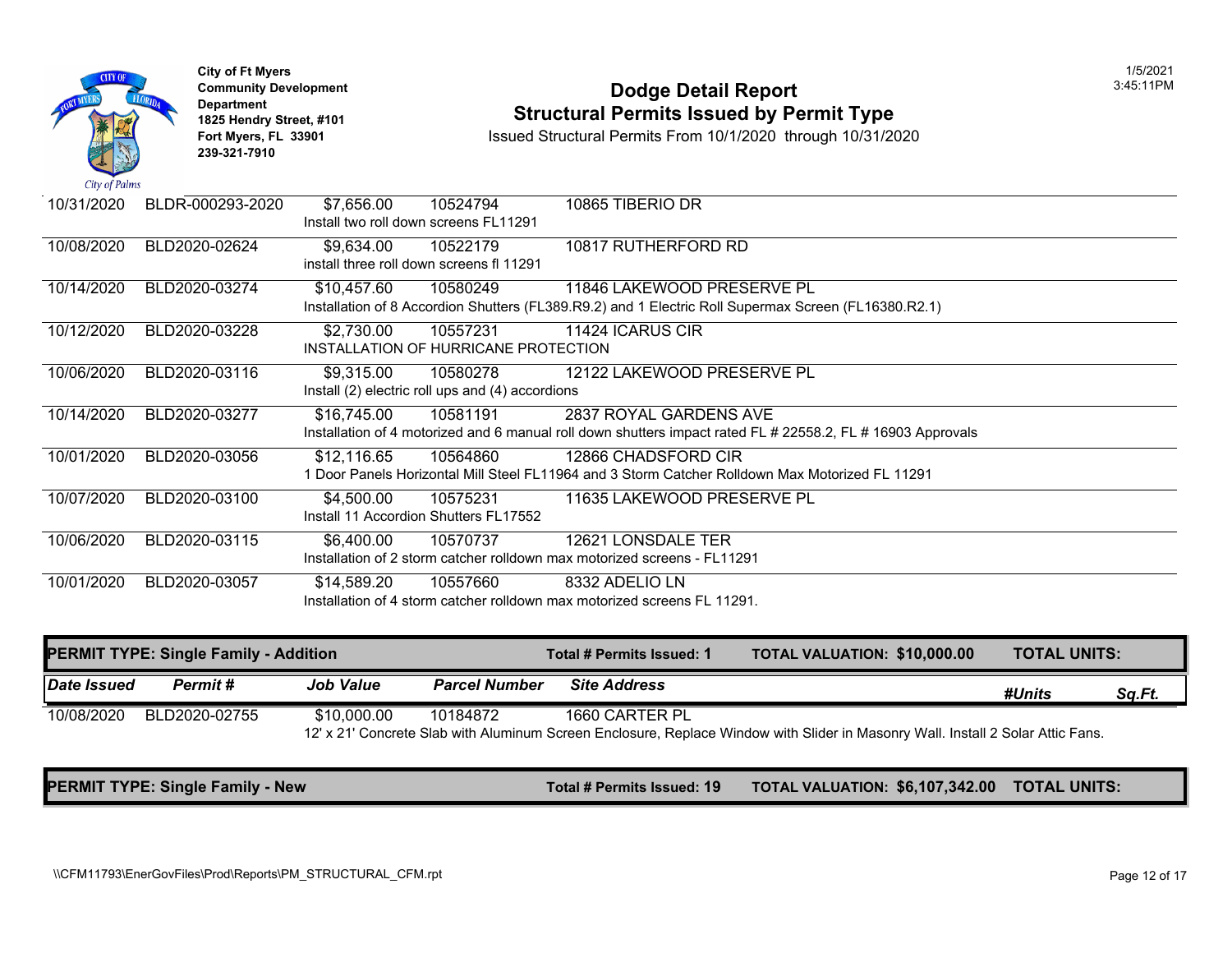|               | <b>City of Ft Myers</b><br><b>Community Development</b><br><b>Department</b><br>1825 Hendry Street, #101<br>Fort Myers, FL 33901<br>239-321-7910 |             |                                                              | <b>Dodge Detail Report</b><br><b>Structural Permits Issued by Permit Type</b><br>Issued Structural Permits From 10/1/2020 through 10/31/2020 |  |
|---------------|--------------------------------------------------------------------------------------------------------------------------------------------------|-------------|--------------------------------------------------------------|----------------------------------------------------------------------------------------------------------------------------------------------|--|
| City of Palms |                                                                                                                                                  |             |                                                              |                                                                                                                                              |  |
| 10/31/2020    | BLDR-000293-2020                                                                                                                                 | \$7,656.00  | 10524794<br>Install two roll down screens FL11291            | 10865 TIBERIO DR                                                                                                                             |  |
| 10/08/2020    | BLD2020-02624                                                                                                                                    | \$9,634.00  | 10522179<br>install three roll down screens fl 11291         | 10817 RUTHERFORD RD                                                                                                                          |  |
| 10/14/2020    | BLD2020-03274                                                                                                                                    | \$10,457.60 | 10580249                                                     | 11846 LAKEWOOD PRESERVE PL<br>Installation of 8 Accordion Shutters (FL389.R9.2) and 1 Electric Roll Supermax Screen (FL16380.R2.1)           |  |
| 10/12/2020    | BLD2020-03228                                                                                                                                    | \$2,730.00  | 10557231<br>INSTALLATION OF HURRICANE PROTECTION             | 11424 ICARUS CIR                                                                                                                             |  |
| 10/06/2020    | BLD2020-03116                                                                                                                                    | \$9,315.00  | 10580278<br>Install (2) electric roll ups and (4) accordions | 12122 LAKEWOOD PRESERVE PL                                                                                                                   |  |
| 10/14/2020    | BLD2020-03277                                                                                                                                    | \$16,745.00 | 10581191                                                     | 2837 ROYAL GARDENS AVE<br>Installation of 4 motorized and 6 manual roll down shutters impact rated FL # 22558.2, FL # 16903 Appro            |  |
| 10/01/2020    | BLD2020-03056                                                                                                                                    | \$12,116.65 | 10564860                                                     | 12866 CHADSFORD CIR<br>1 Door Panels Horizontal Mill Steel FL11964 and 3 Storm Catcher Rolldown Max Motorized FL 11291                       |  |
| 10/07/2020    | BLD2020-03100                                                                                                                                    | \$4,500.00  | 10575231<br>Install 11 Accordion Shutters FL17552            | 11635 LAKEWOOD PRESERVE PL                                                                                                                   |  |
| 10/06/2020    | BLD2020-03115                                                                                                                                    | \$6,400.00  | 10570737                                                     | 12621 LONSDALE TER<br>Installation of 2 storm catcher rolldown max motorized screens - FL11291                                               |  |
| 10/01/2020    | BLD2020-03057                                                                                                                                    | \$14,589.20 | 10557660                                                     | 8332 ADELIO LN<br>Installation of 4 storm catcher rolldown max motorized screens FL 11291.                                                   |  |

|             | <b>PERMIT TYPE: Single Family - Addition</b> |                  |                      | Total # Permits Issued: 1 | <b>TOTAL VALUATION: \$10,000</b>                                                                    |
|-------------|----------------------------------------------|------------------|----------------------|---------------------------|-----------------------------------------------------------------------------------------------------|
| Date Issued | Permit #                                     | <b>Job Value</b> | <b>Parcel Number</b> | <b>Site Address</b>       |                                                                                                     |
| 10/08/2020  | BLD2020-02755                                | \$10,000.00      | 10184872             | 1660 CARTER PL            | 12' x 21' Concrete Slab with Aluminum Screen Enclosure, Replace Window with Slider in Masonry Wall. |

**PERMIT TYPE: Single Family - New The Construction of the Construction Total # Permits Issued: 19 TOTAL VALUATION: \$6,107,**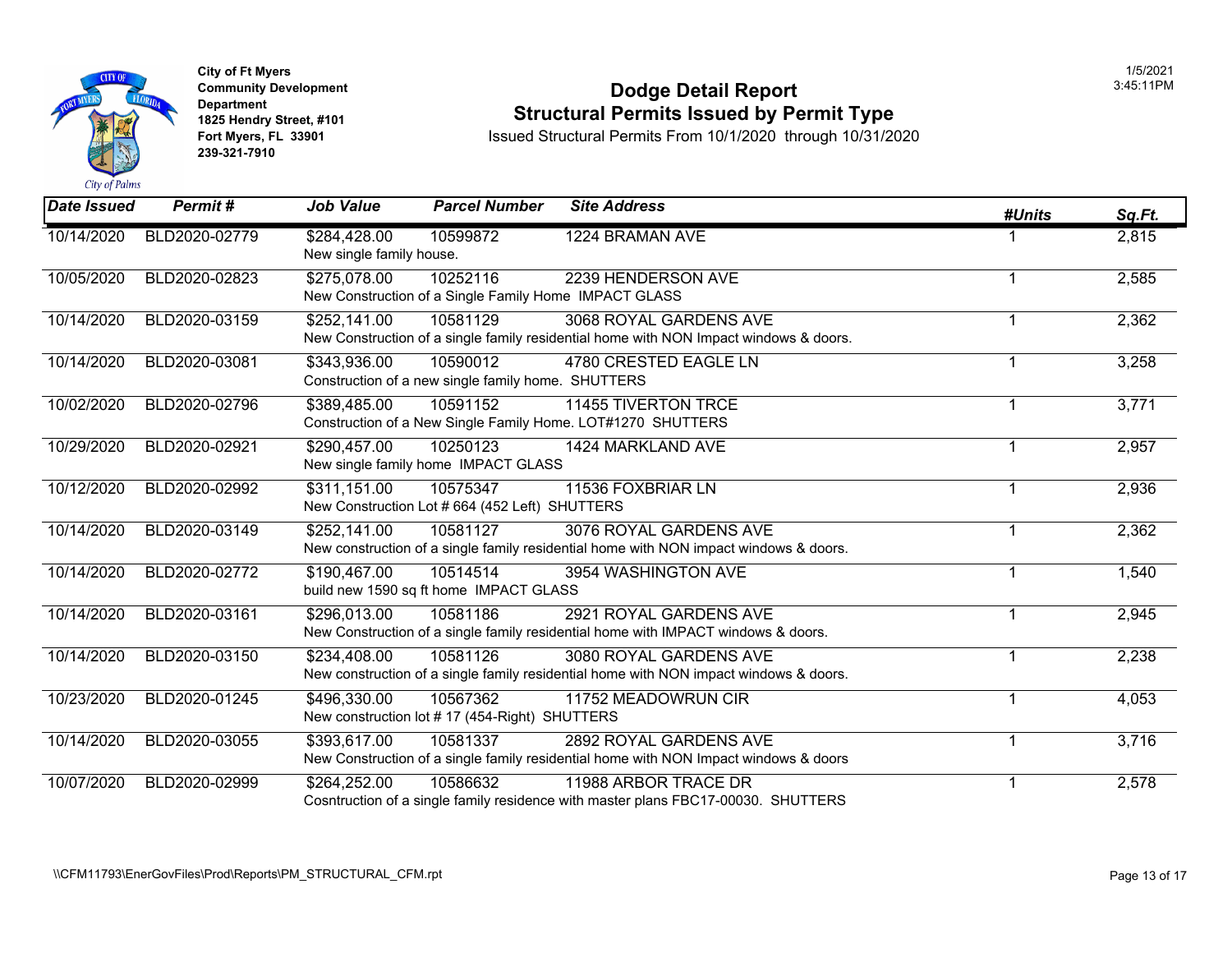

**City of Ft Myers** 1/5/2021 **239-321-7910** 

## **Community Development**<br>
Dodge Detail Report<br> **Community Development**<br>
1825 Hendry Street, #101 **Structural Permits Issued by Permit Type 1825 Hendry Street, #101**<br>1825 Hendry Street, #101 **Structural Permits Issued by Permit Type**<br>10/31/20 Fort Myers, FL 33901 **Structural Permits From 10/1/2020** through 10/31/20

| Date Issued | Permit#       | <b>Job Value</b>                         | <b>Parcel Number</b>                                              | <b>Site Address</b>                                                                                             | #Units                  | Sq.Ft. |
|-------------|---------------|------------------------------------------|-------------------------------------------------------------------|-----------------------------------------------------------------------------------------------------------------|-------------------------|--------|
| 10/14/2020  | BLD2020-02779 | \$284,428.00<br>New single family house. | 10599872                                                          | 1224 BRAMAN AVE                                                                                                 |                         | 2,815  |
| 10/05/2020  | BLD2020-02823 | \$275,078.00                             | 10252116<br>New Construction of a Single Family Home IMPACT GLASS | 2239 HENDERSON AVE                                                                                              | $\mathbf 1$             | 2,585  |
| 10/14/2020  | BLD2020-03159 | \$252,141.00                             | 10581129                                                          | 3068 ROYAL GARDENS AVE<br>New Construction of a single family residential home with NON Impact windows & doors. | 1                       | 2,362  |
| 10/14/2020  | BLD2020-03081 | \$343,936.00                             | 10590012<br>Construction of a new single family home. SHUTTERS    | 4780 CRESTED EAGLE LN                                                                                           | 1                       | 3,258  |
| 10/02/2020  | BLD2020-02796 | \$389,485.00                             | 10591152                                                          | <b>11455 TIVERTON TRCE</b><br>Construction of a New Single Family Home. LOT#1270 SHUTTERS                       | 1                       | 3,771  |
| 10/29/2020  | BLD2020-02921 | \$290,457.00                             | 10250123<br>New single family home IMPACT GLASS                   | 1424 MARKLAND AVE                                                                                               | $\mathbf{1}$            | 2,957  |
| 10/12/2020  | BLD2020-02992 | \$311,151.00                             | 10575347<br>New Construction Lot # 664 (452 Left) SHUTTERS        | 11536 FOXBRIAR LN                                                                                               | $\mathbf 1$             | 2,936  |
| 10/14/2020  | BLD2020-03149 | \$252,141.00                             | 10581127                                                          | 3076 ROYAL GARDENS AVE<br>New construction of a single family residential home with NON impact windows & doors. |                         | 2,362  |
| 10/14/2020  | BLD2020-02772 | \$190,467.00                             | 10514514<br>build new 1590 sq ft home IMPACT GLASS                | 3954 WASHINGTON AVE                                                                                             | 1                       | 1,540  |
| 10/14/2020  | BLD2020-03161 | \$296,013.00                             | 10581186                                                          | 2921 ROYAL GARDENS AVE<br>New Construction of a single family residential home with IMPACT windows & doors.     | 1                       | 2,945  |
| 10/14/2020  | BLD2020-03150 | \$234,408.00                             | 10581126                                                          | 3080 ROYAL GARDENS AVE<br>New construction of a single family residential home with NON impact windows & doors. | 1                       | 2,238  |
| 10/23/2020  | BLD2020-01245 | \$496,330.00                             | 10567362<br>New construction lot #17 (454-Right) SHUTTERS         | 11752 MEADOWRUN CIR                                                                                             | $\mathbf 1$             | 4,053  |
| 10/14/2020  | BLD2020-03055 | \$393,617.00                             | 10581337                                                          | 2892 ROYAL GARDENS AVE<br>New Construction of a single family residential home with NON Impact windows & doors  | $\overline{\mathbf{1}}$ | 3,716  |
| 10/07/2020  | BLD2020-02999 | \$264,252.00                             | 10586632                                                          | 11988 ARBOR TRACE DR<br>Cosntruction of a single family residence with master plans FBC17-00030. SHUTTERS       |                         | 2,578  |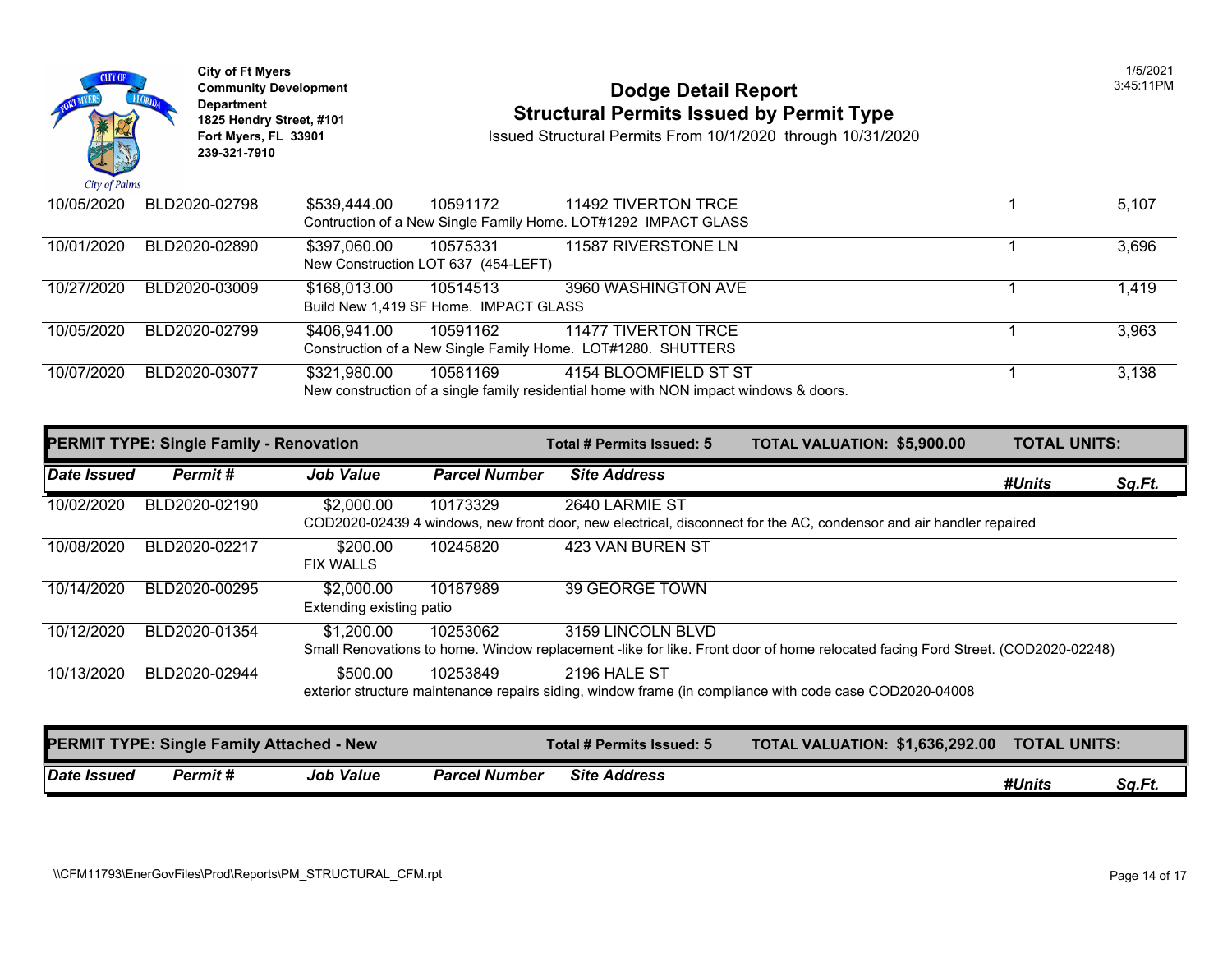| City of Palms | <b>City of Ft Myers</b><br><b>Community Development</b><br>Department<br>1825 Hendry Street, #101<br>Fort Myers, FL 33901<br>239-321-7910 |              |                                                   | <b>Dodge Detail Report</b><br><b>Structural Permits Issued by Permit Type</b><br>Issued Structural Permits From 10/1/2020 through 10/31/2020 | 1/5/2021<br>3:45:11PM |
|---------------|-------------------------------------------------------------------------------------------------------------------------------------------|--------------|---------------------------------------------------|----------------------------------------------------------------------------------------------------------------------------------------------|-----------------------|
| 10/05/2020    | BLD2020-02798                                                                                                                             | \$539,444.00 | 10591172                                          | 11492 TIVERTON TRCE<br>Contruction of a New Single Family Home. LOT#1292 IMPACT GLASS                                                        | 5,107                 |
| 10/01/2020    | BLD2020-02890                                                                                                                             | \$397,060.00 | 10575331<br>New Construction LOT 637 (454-LEFT)   | 11587 RIVERSTONE LN                                                                                                                          | 3,696                 |
| 10/27/2020    | BLD2020-03009                                                                                                                             | \$168,013.00 | 10514513<br>Build New 1,419 SF Home. IMPACT GLASS | 3960 WASHINGTON AVE                                                                                                                          | 1,419                 |
| 10/05/2020    | BLD2020-02799                                                                                                                             | \$406,941.00 | 10591162                                          | <b>11477 TIVERTON TRCE</b><br>Construction of a New Single Family Home. LOT#1280. SHUTTERS                                                   | 3,963                 |
| 10/07/2020    | BLD2020-03077                                                                                                                             | \$321,980.00 | 10581169                                          | 4154 BLOOMFIELD ST ST<br>New construction of a single family residential home with NON impact windows & doors.                               | 3,138                 |

| <b>PERMIT TYPE: Single Family - Renovation</b> |                                                   |                                        | Total # Permits Issued: 5 | <b>TOTAL VALUATION: \$5,900.00</b> | <b>TOTAL UNITS:</b>                                                                                                            |               |        |
|------------------------------------------------|---------------------------------------------------|----------------------------------------|---------------------------|------------------------------------|--------------------------------------------------------------------------------------------------------------------------------|---------------|--------|
| Date Issued                                    | Permit#                                           | <b>Job Value</b>                       | <b>Parcel Number</b>      | <b>Site Address</b>                |                                                                                                                                | #Units        | Sq.Ft. |
| 10/02/2020                                     | BLD2020-02190                                     | \$2,000.00                             | 10173329                  | 2640 LARMIE ST                     | COD2020-02439 4 windows, new front door, new electrical, disconnect for the AC, condensor and air handler repaired             |               |        |
| 10/08/2020                                     | BLD2020-02217                                     | \$200.00<br><b>FIX WALLS</b>           | 10245820                  | 423 VAN BUREN ST                   |                                                                                                                                |               |        |
| 10/14/2020                                     | BLD2020-00295                                     | \$2,000.00<br>Extending existing patio | 10187989                  | 39 GEORGE TOWN                     |                                                                                                                                |               |        |
| 10/12/2020                                     | BLD2020-01354                                     | \$1,200.00                             | 10253062                  | 3159 LINCOLN BLVD                  | Small Renovations to home. Window replacement -like for like. Front door of home relocated facing Ford Street. (COD2020-02248) |               |        |
| 10/13/2020                                     | BLD2020-02944                                     | \$500.00                               | 10253849                  | 2196 HALE ST                       | exterior structure maintenance repairs siding, window frame (in compliance with code case COD2020-04008                        |               |        |
|                                                | <b>IDERMIT TYPE: Single Family Attached - New</b> |                                        |                           | Total # Parmite Iccupd: 5          | TOTAL VALUATION: \$1 636 292 00                                                                                                | TOTAL IINITS: |        |

|             |         | <b>PERMIT TYPE: Single Family Attached - New</b> |                      | Total # Permits Issued: 5 | <b>TOTAL VALUATION: \$1,636,292.00</b> | <b>TOTAL UNITS:</b> |        |
|-------------|---------|--------------------------------------------------|----------------------|---------------------------|----------------------------------------|---------------------|--------|
| Date Issued | Permit# | <b>Job Value</b>                                 | <b>Parcel Number</b> | <b>Site Address</b>       |                                        | #Units              | Sq.Ft. |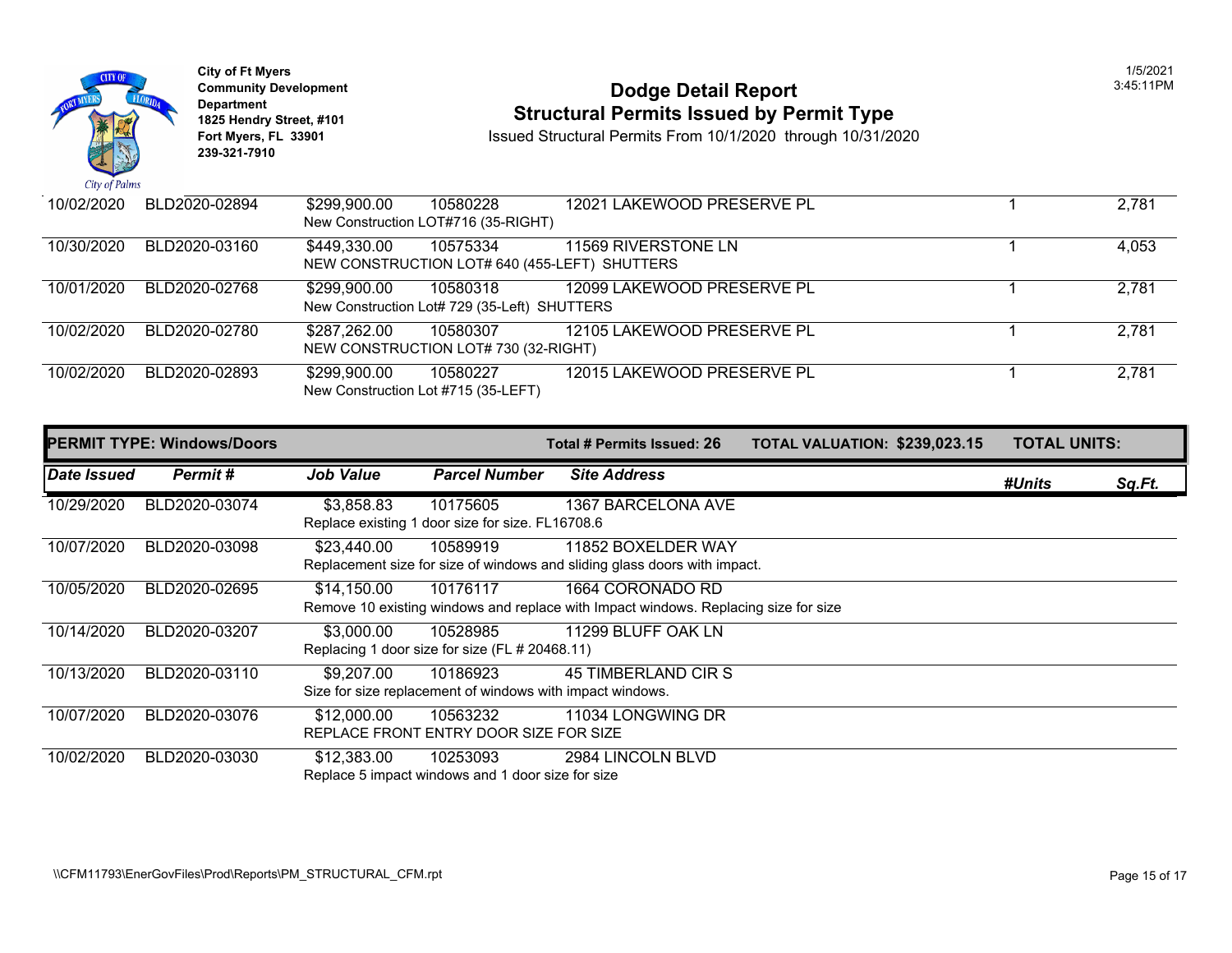

**City of Ft Myers** 1/5/2021 Department<br>1825 Hendry Street, #101 **239-321-7910** 

# City of Ft Myers<br> **Community Development**<br> **Dodge Detail Report 1825 Hendry Street, #101 1825 Hendry Street, #101 1825 Hendry Street, #101 Structural Permits Issued by Permit Type**<br> **1825 Hendry Street, #101 1850 Issued Structural Permits From 10/1/2020** through 10/31/20

| 10/02/2020 | BLD2020-02894 | \$299,900.00                        | 10580228                                      | 12021 LAKEWOOD PRESERVE PL |  |
|------------|---------------|-------------------------------------|-----------------------------------------------|----------------------------|--|
|            |               |                                     | New Construction LOT#716 (35-RIGHT)           |                            |  |
| 10/30/2020 | BLD2020-03160 | \$449,330.00                        | 10575334                                      | 11569 RIVERSTONE LN        |  |
|            |               |                                     | NEW CONSTRUCTION LOT# 640 (455-LEFT) SHUTTERS |                            |  |
| 10/01/2020 | BLD2020-02768 | \$299,900.00                        | 10580318                                      | 12099 LAKEWOOD PRESERVE PL |  |
|            |               |                                     | New Construction Lot# 729 (35-Left) SHUTTERS  |                            |  |
| 10/02/2020 | BLD2020-02780 | \$287,262.00                        | 10580307                                      | 12105 LAKEWOOD PRESERVE PL |  |
|            |               |                                     | NEW CONSTRUCTION LOT# 730 (32-RIGHT)          |                            |  |
| 10/02/2020 | BLD2020-02893 | \$299,900.00                        | 10580227                                      | 12015 LAKEWOOD PRESERVE PL |  |
|            |               | New Construction Lot #715 (35-LEFT) |                                               |                            |  |

|             | <b>PERMIT TYPE: Windows/Doors</b> |                  |                                                                       | Total # Permits Issued: 26                                                                              | <b>TOTAL VALUATION: \$239,02</b> |  |
|-------------|-----------------------------------|------------------|-----------------------------------------------------------------------|---------------------------------------------------------------------------------------------------------|----------------------------------|--|
| Date Issued | Permit#                           | <b>Job Value</b> | <b>Parcel Number</b>                                                  | <b>Site Address</b>                                                                                     |                                  |  |
| 10/29/2020  | BLD2020-03074                     | \$3,858.83       | 10175605<br>Replace existing 1 door size for size. FL16708.6          | 1367 BARCELONA AVE                                                                                      |                                  |  |
| 10/07/2020  | BLD2020-03098                     | \$23,440.00      | 10589919                                                              | 11852 BOXELDER WAY<br>Replacement size for size of windows and sliding glass doors with impact.         |                                  |  |
| 10/05/2020  | BLD2020-02695                     | \$14,150.00      | 10176117                                                              | 1664 CORONADO RD<br>Remove 10 existing windows and replace with Impact windows. Replacing size for size |                                  |  |
| 10/14/2020  | BLD2020-03207                     | \$3,000.00       | 10528985<br>Replacing 1 door size for size (FL # 20468.11)            | 11299 BLUFF OAK LN                                                                                      |                                  |  |
| 10/13/2020  | BLD2020-03110                     | \$9,207.00       | 10186923<br>Size for size replacement of windows with impact windows. | 45 TIMBERLAND CIR S                                                                                     |                                  |  |
| 10/07/2020  | BLD2020-03076                     | \$12,000.00      | 10563232<br>REPLACE FRONT ENTRY DOOR SIZE FOR SIZE                    | 11034 LONGWING DR                                                                                       |                                  |  |
| 10/02/2020  | BLD2020-03030                     | \$12,383.00      | 10253093<br>Replace 5 impact windows and 1 door size for size         | 2984 LINCOLN BLVD                                                                                       |                                  |  |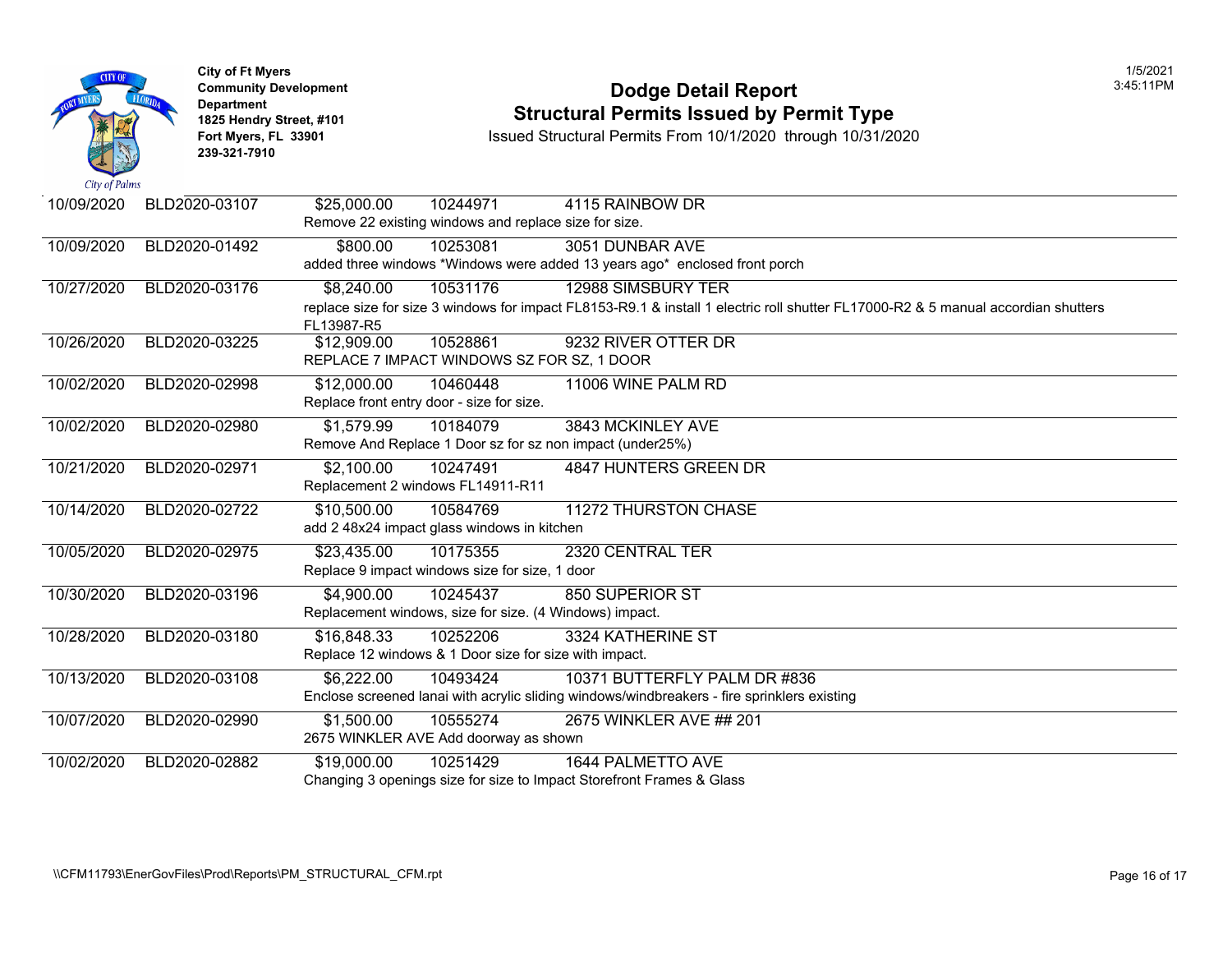

## **Community Development Dodge Detail Report** 3:45:11PM **1825 Hendry Street, #101 1825 Hendry Street, #101 1825 Hendry Street, #101 Structural Permits Issued by Permit Type**<br> **1825 Hendry Street, #101 1850 Issued Structural Permits From 10/1/2020** through 10/31/20

| 10/09/2020 | BLD2020-03107 | \$25,000.00 | 10244971                                              | 4115 RAINBOW DR                                                                                           |
|------------|---------------|-------------|-------------------------------------------------------|-----------------------------------------------------------------------------------------------------------|
|            |               |             | Remove 22 existing windows and replace size for size. |                                                                                                           |
| 10/09/2020 | BLD2020-01492 | \$800.00    | 10253081                                              | 3051 DUNBAR AVE                                                                                           |
|            |               |             |                                                       | added three windows *Windows were added 13 years ago* enclosed front porch                                |
| 10/27/2020 | BLD2020-03176 | \$8,240.00  | 10531176                                              | 12988 SIMSBURY TER                                                                                        |
|            |               |             |                                                       | replace size for size 3 windows for impact FL8153-R9.1 & install 1 electric roll shutter FL17000-R2 & 5 m |
|            |               | FL13987-R5  |                                                       |                                                                                                           |
| 10/26/2020 | BLD2020-03225 | \$12,909.00 | 10528861                                              | 9232 RIVER OTTER DR                                                                                       |
|            |               |             |                                                       | REPLACE 7 IMPACT WINDOWS SZ FOR SZ, 1 DOOR                                                                |
| 10/02/2020 | BLD2020-02998 | \$12,000.00 | 10460448                                              | 11006 WINE PALM RD                                                                                        |
|            |               |             | Replace front entry door - size for size.             |                                                                                                           |
| 10/02/2020 | BLD2020-02980 | \$1,579.99  | 10184079                                              | 3843 MCKINLEY AVE                                                                                         |
|            |               |             |                                                       | Remove And Replace 1 Door sz for sz non impact (under25%)                                                 |
| 10/21/2020 | BLD2020-02971 | \$2,100.00  | 10247491                                              | 4847 HUNTERS GREEN DR                                                                                     |
|            |               |             | Replacement 2 windows FL14911-R11                     |                                                                                                           |
| 10/14/2020 | BLD2020-02722 | \$10,500.00 | 10584769                                              | 11272 THURSTON CHASE                                                                                      |
|            |               |             | add 2 48x24 impact glass windows in kitchen           |                                                                                                           |
| 10/05/2020 | BLD2020-02975 | \$23,435.00 | 10175355                                              | 2320 CENTRAL TER                                                                                          |
|            |               |             | Replace 9 impact windows size for size, 1 door        |                                                                                                           |
| 10/30/2020 | BLD2020-03196 | \$4,900.00  | 10245437                                              | 850 SUPERIOR ST                                                                                           |
|            |               |             |                                                       | Replacement windows, size for size. (4 Windows) impact.                                                   |
| 10/28/2020 | BLD2020-03180 | \$16,848.33 | 10252206                                              | 3324 KATHERINE ST                                                                                         |
|            |               |             |                                                       | Replace 12 windows & 1 Door size for size with impact.                                                    |
| 10/13/2020 | BLD2020-03108 | \$6,222.00  | 10493424                                              | 10371 BUTTERFLY PALM DR #836                                                                              |
|            |               |             |                                                       | Enclose screened lanai with acrylic sliding windows/windbreakers - fire sprinklers existing               |
| 10/07/2020 | BLD2020-02990 | \$1,500.00  | 10555274                                              | 2675 WINKLER AVE ## 201                                                                                   |
|            |               |             | 2675 WINKLER AVE Add doorway as shown                 |                                                                                                           |
| 10/02/2020 | BLD2020-02882 | \$19,000.00 | 10251429                                              | <b>1644 PALMETTO AVE</b>                                                                                  |
|            |               |             |                                                       | Changing 3 openings size for size to Impact Storefront Frames & Glass                                     |
|            |               |             |                                                       |                                                                                                           |